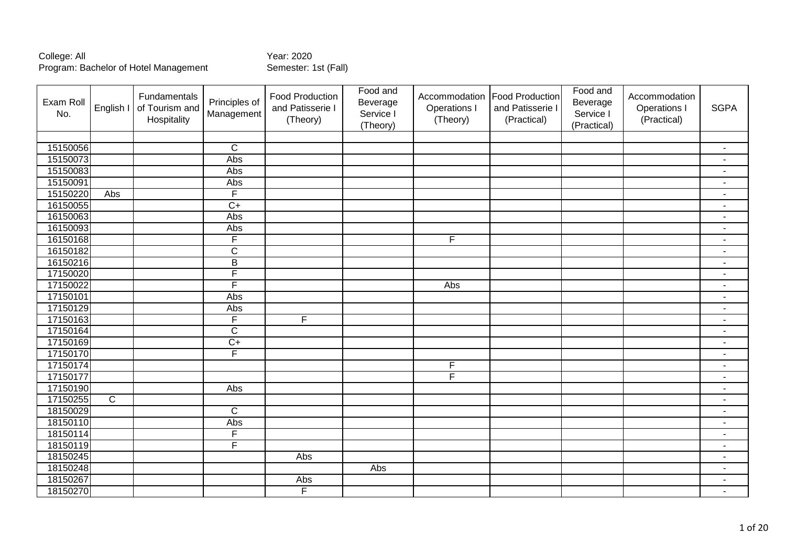| Exam Roll<br>No. | English I      | Fundamentals<br>of Tourism and<br>Hospitality | Principles of<br>Management | <b>Food Production</b><br>and Patisserie I<br>(Theory) | Food and<br>Beverage<br>Service I<br>(Theory) | Accommodation<br>Operations I<br>(Theory) | <b>Food Production</b><br>and Patisserie I<br>(Practical) | Food and<br>Beverage<br>Service I<br>(Practical) | Accommodation<br>Operations I<br>(Practical) | <b>SGPA</b>              |
|------------------|----------------|-----------------------------------------------|-----------------------------|--------------------------------------------------------|-----------------------------------------------|-------------------------------------------|-----------------------------------------------------------|--------------------------------------------------|----------------------------------------------|--------------------------|
|                  |                |                                               |                             |                                                        |                                               |                                           |                                                           |                                                  |                                              |                          |
| 15150056         |                |                                               | $\overline{C}$              |                                                        |                                               |                                           |                                                           |                                                  |                                              | $\blacksquare$           |
| 15150073         |                |                                               | Abs                         |                                                        |                                               |                                           |                                                           |                                                  |                                              | $\blacksquare$           |
| 15150083         |                |                                               | Abs                         |                                                        |                                               |                                           |                                                           |                                                  |                                              | $\blacksquare$           |
| 15150091         |                |                                               | Abs                         |                                                        |                                               |                                           |                                                           |                                                  |                                              | $\blacksquare$           |
| 15150220         | Abs            |                                               | $\overline{F}$              |                                                        |                                               |                                           |                                                           |                                                  |                                              | $\sim$                   |
| 16150055         |                |                                               | $\overline{C}$              |                                                        |                                               |                                           |                                                           |                                                  |                                              | $\blacksquare$           |
| 16150063         |                |                                               | Abs                         |                                                        |                                               |                                           |                                                           |                                                  |                                              | $\blacksquare$           |
| 16150093         |                |                                               | Abs                         |                                                        |                                               |                                           |                                                           |                                                  |                                              | $\blacksquare$           |
| 16150168         |                |                                               | $\overline{F}$              |                                                        |                                               | F                                         |                                                           |                                                  |                                              | $\overline{\phantom{a}}$ |
| 16150182         |                |                                               | $\overline{\mathsf{C}}$     |                                                        |                                               |                                           |                                                           |                                                  |                                              | $\blacksquare$           |
| 16150216         |                |                                               | $\overline{B}$              |                                                        |                                               |                                           |                                                           |                                                  |                                              | $\blacksquare$           |
| 17150020         |                |                                               | $\overline{\mathsf{F}}$     |                                                        |                                               |                                           |                                                           |                                                  |                                              | $\sim$                   |
| 17150022         |                |                                               | $\overline{\mathsf{F}}$     |                                                        |                                               | Abs                                       |                                                           |                                                  |                                              | $\blacksquare$           |
| 17150101         |                |                                               | Abs                         |                                                        |                                               |                                           |                                                           |                                                  |                                              | $\overline{\phantom{a}}$ |
| 17150129         |                |                                               | Abs                         |                                                        |                                               |                                           |                                                           |                                                  |                                              | $\overline{\phantom{a}}$ |
| 17150163         |                |                                               | $\overline{F}$              | $\overline{F}$                                         |                                               |                                           |                                                           |                                                  |                                              | $\blacksquare$           |
| 17150164         |                |                                               | $\overline{\text{C}}$       |                                                        |                                               |                                           |                                                           |                                                  |                                              | $\blacksquare$           |
| 17150169         |                |                                               | $\overline{C}$              |                                                        |                                               |                                           |                                                           |                                                  |                                              | $\blacksquare$           |
| 17150170         |                |                                               | F                           |                                                        |                                               |                                           |                                                           |                                                  |                                              | $\blacksquare$           |
| 17150174         |                |                                               |                             |                                                        |                                               | F                                         |                                                           |                                                  |                                              | $\blacksquare$           |
| 17150177         |                |                                               |                             |                                                        |                                               | F                                         |                                                           |                                                  |                                              | ä,                       |
| 17150190         |                |                                               | Abs                         |                                                        |                                               |                                           |                                                           |                                                  |                                              | $\overline{\phantom{a}}$ |
| 17150255         | $\overline{C}$ |                                               |                             |                                                        |                                               |                                           |                                                           |                                                  |                                              | $\blacksquare$           |
| 18150029         |                |                                               | $\overline{C}$              |                                                        |                                               |                                           |                                                           |                                                  |                                              | $\blacksquare$           |
| 18150110         |                |                                               | Abs                         |                                                        |                                               |                                           |                                                           |                                                  |                                              | $\overline{\phantom{a}}$ |
| 18150114         |                |                                               | F                           |                                                        |                                               |                                           |                                                           |                                                  |                                              | $\overline{\phantom{a}}$ |
| 18150119         |                |                                               | $\overline{F}$              |                                                        |                                               |                                           |                                                           |                                                  |                                              | $\sim$                   |
| 18150245         |                |                                               |                             | Abs                                                    |                                               |                                           |                                                           |                                                  |                                              | $\blacksquare$           |
| 18150248         |                |                                               |                             |                                                        | Abs                                           |                                           |                                                           |                                                  |                                              | ٠                        |
| 18150267         |                |                                               |                             | Abs                                                    |                                               |                                           |                                                           |                                                  |                                              | $\blacksquare$           |
| 18150270         |                |                                               |                             | $\overline{F}$                                         |                                               |                                           |                                                           |                                                  |                                              | $\blacksquare$           |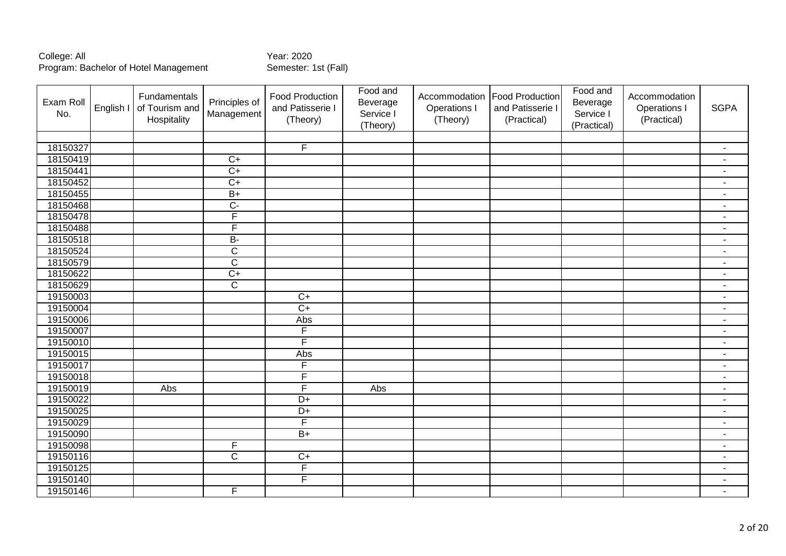| Exam Roll<br>No. | English I | Fundamentals<br>of Tourism and<br>Hospitality | Principles of<br>Management | <b>Food Production</b><br>and Patisserie I<br>(Theory) | Food and<br>Beverage<br>Service I<br>(Theory) | Accommodation<br>Operations I<br>(Theory) | <b>Food Production</b><br>and Patisserie I<br>(Practical) | Food and<br>Beverage<br>Service I<br>(Practical) | Accommodation<br>Operations I<br>(Practical) | <b>SGPA</b>    |
|------------------|-----------|-----------------------------------------------|-----------------------------|--------------------------------------------------------|-----------------------------------------------|-------------------------------------------|-----------------------------------------------------------|--------------------------------------------------|----------------------------------------------|----------------|
|                  |           |                                               |                             |                                                        |                                               |                                           |                                                           |                                                  |                                              |                |
| 18150327         |           |                                               |                             | $\overline{F}$                                         |                                               |                                           |                                                           |                                                  |                                              | $\blacksquare$ |
| 18150419         |           |                                               | $\overline{C}$              |                                                        |                                               |                                           |                                                           |                                                  |                                              | $\sim$         |
| 18150441         |           |                                               | $\overline{C+}$             |                                                        |                                               |                                           |                                                           |                                                  |                                              | $\sim$         |
| 18150452         |           |                                               | $\overline{C+}$             |                                                        |                                               |                                           |                                                           |                                                  |                                              | $\sim$         |
| 18150455         |           |                                               | $\overline{B+}$             |                                                        |                                               |                                           |                                                           |                                                  |                                              | $\sim$         |
| 18150468         |           |                                               | $\overline{C}$              |                                                        |                                               |                                           |                                                           |                                                  |                                              | $\blacksquare$ |
| 18150478         |           |                                               | F                           |                                                        |                                               |                                           |                                                           |                                                  |                                              | $\blacksquare$ |
| 18150488         |           |                                               | F                           |                                                        |                                               |                                           |                                                           |                                                  |                                              | $\blacksquare$ |
| 18150518         |           |                                               | $B -$                       |                                                        |                                               |                                           |                                                           |                                                  |                                              | $\blacksquare$ |
| 18150524         |           |                                               | $\overline{\text{C}}$       |                                                        |                                               |                                           |                                                           |                                                  |                                              | $\blacksquare$ |
| 18150579         |           |                                               | $\overline{\mathsf{C}}$     |                                                        |                                               |                                           |                                                           |                                                  |                                              | $\blacksquare$ |
| 18150622         |           |                                               | $\overline{C+}$             |                                                        |                                               |                                           |                                                           |                                                  |                                              | $\blacksquare$ |
| 18150629         |           |                                               | $\overline{\text{c}}$       |                                                        |                                               |                                           |                                                           |                                                  |                                              | $\blacksquare$ |
| 19150003         |           |                                               |                             | $\overline{C+}$                                        |                                               |                                           |                                                           |                                                  |                                              | $\blacksquare$ |
| 19150004         |           |                                               |                             | $\overline{C}$                                         |                                               |                                           |                                                           |                                                  |                                              | $\blacksquare$ |
| 19150006         |           |                                               |                             | Abs                                                    |                                               |                                           |                                                           |                                                  |                                              | $\sim$         |
| 19150007         |           |                                               |                             | F                                                      |                                               |                                           |                                                           |                                                  |                                              | $\sim$         |
| 19150010         |           |                                               |                             | F                                                      |                                               |                                           |                                                           |                                                  |                                              | $\blacksquare$ |
| 19150015         |           |                                               |                             | Abs                                                    |                                               |                                           |                                                           |                                                  |                                              | $\blacksquare$ |
| 19150017         |           |                                               |                             | F                                                      |                                               |                                           |                                                           |                                                  |                                              | $\blacksquare$ |
| 19150018         |           |                                               |                             | F                                                      |                                               |                                           |                                                           |                                                  |                                              | $\blacksquare$ |
| 19150019         |           | Abs                                           |                             | $\overline{\mathsf{F}}$                                | Abs                                           |                                           |                                                           |                                                  |                                              | $\blacksquare$ |
| 19150022         |           |                                               |                             | $\overline{D+}$                                        |                                               |                                           |                                                           |                                                  |                                              | $\blacksquare$ |
| 19150025         |           |                                               |                             | $\overline{D+}$                                        |                                               |                                           |                                                           |                                                  |                                              | $\blacksquare$ |
| 19150029         |           |                                               |                             | F                                                      |                                               |                                           |                                                           |                                                  |                                              | $\sim$         |
| 19150090         |           |                                               |                             | $B+$                                                   |                                               |                                           |                                                           |                                                  |                                              | $\blacksquare$ |
| 19150098         |           |                                               | F                           |                                                        |                                               |                                           |                                                           |                                                  |                                              | $\blacksquare$ |
| 19150116         |           |                                               | $\overline{C}$              | $\overline{C}$                                         |                                               |                                           |                                                           |                                                  |                                              | $\blacksquare$ |
| 19150125         |           |                                               |                             | F                                                      |                                               |                                           |                                                           |                                                  |                                              | $\sim$         |
| 19150140         |           |                                               |                             | F                                                      |                                               |                                           |                                                           |                                                  |                                              | $\blacksquare$ |
| 19150146         |           |                                               | $\overline{F}$              |                                                        |                                               |                                           |                                                           |                                                  |                                              | $\sim$         |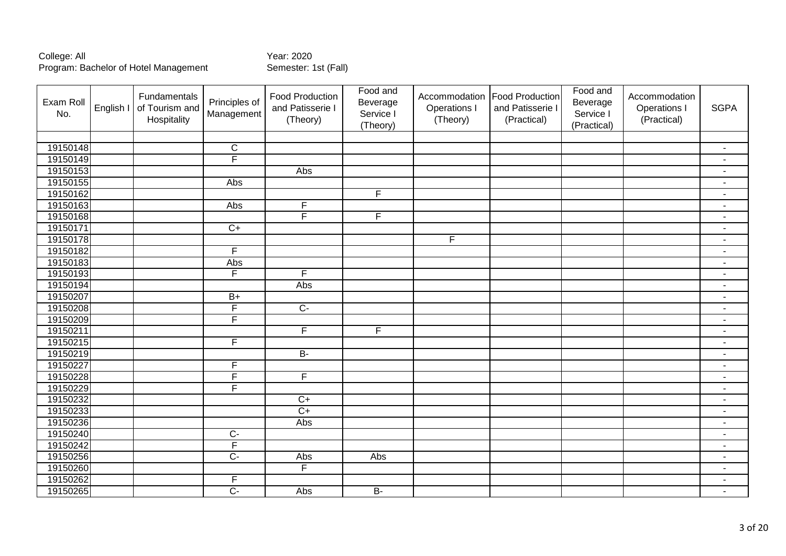| Exam Roll<br>No. | English I | Fundamentals<br>of Tourism and<br>Hospitality | Principles of<br>Management | <b>Food Production</b><br>and Patisserie I<br>(Theory) | Food and<br>Beverage<br>Service I<br>(Theory) | Accommodation<br><b>Operations I</b><br>(Theory) | <b>Food Production</b><br>and Patisserie I<br>(Practical) | Food and<br>Beverage<br>Service I<br>(Practical) | Accommodation<br>Operations I<br>(Practical) | <b>SGPA</b>              |
|------------------|-----------|-----------------------------------------------|-----------------------------|--------------------------------------------------------|-----------------------------------------------|--------------------------------------------------|-----------------------------------------------------------|--------------------------------------------------|----------------------------------------------|--------------------------|
|                  |           |                                               |                             |                                                        |                                               |                                                  |                                                           |                                                  |                                              |                          |
| 19150148         |           |                                               | $\mathbf C$                 |                                                        |                                               |                                                  |                                                           |                                                  |                                              | $\blacksquare$           |
| 19150149         |           |                                               | F                           |                                                        |                                               |                                                  |                                                           |                                                  |                                              | $\blacksquare$           |
| 19150153         |           |                                               |                             | Abs                                                    |                                               |                                                  |                                                           |                                                  |                                              | $\blacksquare$           |
| 19150155         |           |                                               | Abs                         |                                                        |                                               |                                                  |                                                           |                                                  |                                              | $\blacksquare$           |
| 19150162         |           |                                               |                             |                                                        | F                                             |                                                  |                                                           |                                                  |                                              | $\blacksquare$           |
| 19150163         |           |                                               | Abs                         | F                                                      |                                               |                                                  |                                                           |                                                  |                                              | $\sim$                   |
| 19150168         |           |                                               |                             | $\overline{\mathsf{F}}$                                | $\overline{F}$                                |                                                  |                                                           |                                                  |                                              | $\blacksquare$           |
| 19150171         |           |                                               | $C+$                        |                                                        |                                               |                                                  |                                                           |                                                  |                                              | $\blacksquare$           |
| 19150178         |           |                                               |                             |                                                        |                                               | F                                                |                                                           |                                                  |                                              | $\overline{\phantom{a}}$ |
| 19150182         |           |                                               | F                           |                                                        |                                               |                                                  |                                                           |                                                  |                                              | $\blacksquare$           |
| 19150183         |           |                                               | Abs                         |                                                        |                                               |                                                  |                                                           |                                                  |                                              | $\overline{\phantom{a}}$ |
| 19150193         |           |                                               | F                           | F                                                      |                                               |                                                  |                                                           |                                                  |                                              | $\blacksquare$           |
| 19150194         |           |                                               |                             | Abs                                                    |                                               |                                                  |                                                           |                                                  |                                              | $\blacksquare$           |
| 19150207         |           |                                               | $B+$                        |                                                        |                                               |                                                  |                                                           |                                                  |                                              | $\blacksquare$           |
| 19150208         |           |                                               | $\overline{F}$              | $\overline{C}$                                         |                                               |                                                  |                                                           |                                                  |                                              | $\blacksquare$           |
| 19150209         |           |                                               | F                           |                                                        |                                               |                                                  |                                                           |                                                  |                                              | $\overline{\phantom{a}}$ |
| 19150211         |           |                                               |                             | F                                                      | $\overline{F}$                                |                                                  |                                                           |                                                  |                                              | $\blacksquare$           |
| 19150215         |           |                                               | $\overline{F}$              |                                                        |                                               |                                                  |                                                           |                                                  |                                              | $\overline{\phantom{a}}$ |
| 19150219         |           |                                               |                             | $B -$                                                  |                                               |                                                  |                                                           |                                                  |                                              | $\sim$                   |
| 19150227         |           |                                               | $\overline{F}$              |                                                        |                                               |                                                  |                                                           |                                                  |                                              | $\blacksquare$           |
| 19150228         |           |                                               | F                           | $\overline{F}$                                         |                                               |                                                  |                                                           |                                                  |                                              | $\blacksquare$           |
| 19150229         |           |                                               | $\overline{F}$              |                                                        |                                               |                                                  |                                                           |                                                  |                                              | $\blacksquare$           |
| 19150232         |           |                                               |                             | $C+$                                                   |                                               |                                                  |                                                           |                                                  |                                              | $\blacksquare$           |
| 19150233         |           |                                               |                             | $C+$                                                   |                                               |                                                  |                                                           |                                                  |                                              | $\blacksquare$           |
| 19150236         |           |                                               |                             | Abs                                                    |                                               |                                                  |                                                           |                                                  |                                              | $\blacksquare$           |
| 19150240         |           |                                               | $\overline{C}$              |                                                        |                                               |                                                  |                                                           |                                                  |                                              | $\blacksquare$           |
| 19150242         |           |                                               | $\overline{F}$              |                                                        |                                               |                                                  |                                                           |                                                  |                                              | $\blacksquare$           |
| 19150256         |           |                                               | $\overline{C}$              | Abs                                                    | Abs                                           |                                                  |                                                           |                                                  |                                              | $\blacksquare$           |
| 19150260         |           |                                               |                             | F                                                      |                                               |                                                  |                                                           |                                                  |                                              | $\blacksquare$           |
| 19150262         |           |                                               | F                           |                                                        |                                               |                                                  |                                                           |                                                  |                                              | $\blacksquare$           |
| 19150265         |           |                                               | $\overline{C}$              | Abs                                                    | $B -$                                         |                                                  |                                                           |                                                  |                                              | $\blacksquare$           |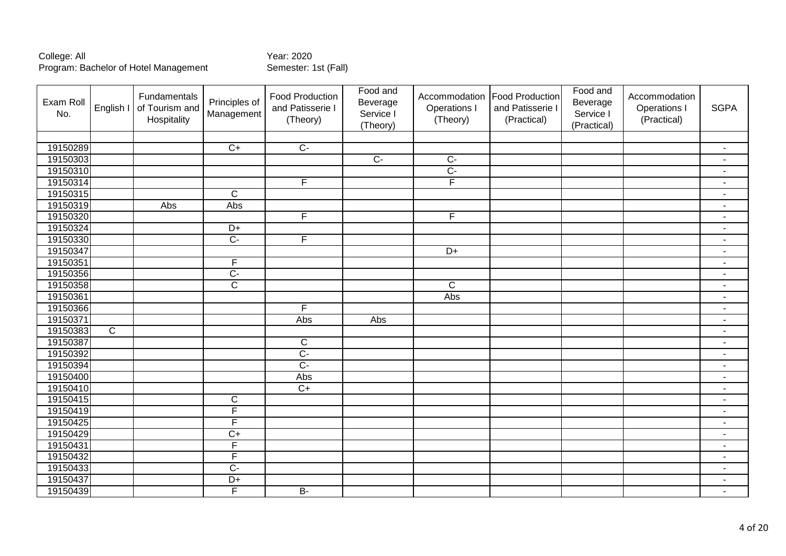| Exam Roll<br>No. | English I               | Fundamentals<br>of Tourism and<br>Hospitality | Principles of<br>Management | Food Production<br>and Patisserie I<br>(Theory) | Food and<br>Beverage<br>Service I<br>(Theory) | Accommodation<br>Operations I<br>(Theory) | <b>Food Production</b><br>and Patisserie I<br>(Practical) | Food and<br>Beverage<br>Service I<br>(Practical) | Accommodation<br>Operations I<br>(Practical) | <b>SGPA</b>    |
|------------------|-------------------------|-----------------------------------------------|-----------------------------|-------------------------------------------------|-----------------------------------------------|-------------------------------------------|-----------------------------------------------------------|--------------------------------------------------|----------------------------------------------|----------------|
|                  |                         |                                               |                             |                                                 |                                               |                                           |                                                           |                                                  |                                              |                |
| 19150289         |                         |                                               | $\overline{C+}$             | $\overline{C}$                                  |                                               |                                           |                                                           |                                                  |                                              | $\blacksquare$ |
| 19150303         |                         |                                               |                             |                                                 | $C-$                                          | $\overline{C}$                            |                                                           |                                                  |                                              | $\mathbf{r}$   |
| 19150310         |                         |                                               |                             |                                                 |                                               | $\overline{C}$                            |                                                           |                                                  |                                              | $\blacksquare$ |
| 19150314         |                         |                                               |                             | $\overline{F}$                                  |                                               | F                                         |                                                           |                                                  |                                              | $\sim$         |
| 19150315         |                         |                                               | $\overline{\text{c}}$       |                                                 |                                               |                                           |                                                           |                                                  |                                              | $\sim$         |
| 19150319         |                         | Abs                                           | Abs                         |                                                 |                                               |                                           |                                                           |                                                  |                                              | $\blacksquare$ |
| 19150320         |                         |                                               |                             | F                                               |                                               | $\overline{F}$                            |                                                           |                                                  |                                              | $\blacksquare$ |
| 19150324         |                         |                                               | $\overline{D+}$             |                                                 |                                               |                                           |                                                           |                                                  |                                              | $\blacksquare$ |
| 19150330         |                         |                                               | $\overline{C}$              | $\overline{F}$                                  |                                               |                                           |                                                           |                                                  |                                              | $\blacksquare$ |
| 19150347         |                         |                                               |                             |                                                 |                                               | $D+$                                      |                                                           |                                                  |                                              | $\sim$         |
| 19150351         |                         |                                               | F                           |                                                 |                                               |                                           |                                                           |                                                  |                                              | $\blacksquare$ |
| 19150356         |                         |                                               | $\overline{C}$              |                                                 |                                               |                                           |                                                           |                                                  |                                              | $\blacksquare$ |
| 19150358         |                         |                                               | $\overline{\mathsf{c}}$     |                                                 |                                               | $\overline{C}$                            |                                                           |                                                  |                                              | $\blacksquare$ |
| 19150361         |                         |                                               |                             |                                                 |                                               | Abs                                       |                                                           |                                                  |                                              | $\blacksquare$ |
| 19150366         |                         |                                               |                             | F                                               |                                               |                                           |                                                           |                                                  |                                              | $\blacksquare$ |
| 19150371         |                         |                                               |                             | Abs                                             | Abs                                           |                                           |                                                           |                                                  |                                              | $\blacksquare$ |
| 19150383         | $\overline{\mathsf{C}}$ |                                               |                             |                                                 |                                               |                                           |                                                           |                                                  |                                              | $\blacksquare$ |
| 19150387         |                         |                                               |                             | $\overline{C}$                                  |                                               |                                           |                                                           |                                                  |                                              | $\sim$         |
| 19150392         |                         |                                               |                             | $\overline{C}$                                  |                                               |                                           |                                                           |                                                  |                                              | $\sim$         |
| 19150394         |                         |                                               |                             | $\overline{C}$                                  |                                               |                                           |                                                           |                                                  |                                              | $\blacksquare$ |
| 19150400         |                         |                                               |                             | Abs                                             |                                               |                                           |                                                           |                                                  |                                              | $\sim$         |
| 19150410         |                         |                                               |                             | $\overline{C+}$                                 |                                               |                                           |                                                           |                                                  |                                              | $\blacksquare$ |
| 19150415         |                         |                                               | $\overline{C}$              |                                                 |                                               |                                           |                                                           |                                                  |                                              | $\blacksquare$ |
| 19150419         |                         |                                               | F                           |                                                 |                                               |                                           |                                                           |                                                  |                                              | $\blacksquare$ |
| 19150425         |                         |                                               | F                           |                                                 |                                               |                                           |                                                           |                                                  |                                              | $\blacksquare$ |
| 19150429         |                         |                                               | $\overline{C+}$             |                                                 |                                               |                                           |                                                           |                                                  |                                              | $\blacksquare$ |
| 19150431         |                         |                                               | F                           |                                                 |                                               |                                           |                                                           |                                                  |                                              | $\blacksquare$ |
| 19150432         |                         |                                               | $\overline{F}$              |                                                 |                                               |                                           |                                                           |                                                  |                                              | $\blacksquare$ |
| 19150433         |                         |                                               | $\overline{C}$              |                                                 |                                               |                                           |                                                           |                                                  |                                              | $\sim$         |
| 19150437         |                         |                                               | $\overline{D+}$             |                                                 |                                               |                                           |                                                           |                                                  |                                              | $\blacksquare$ |
| 19150439         |                         |                                               | F                           | $\overline{B}$                                  |                                               |                                           |                                                           |                                                  |                                              | $\sim$         |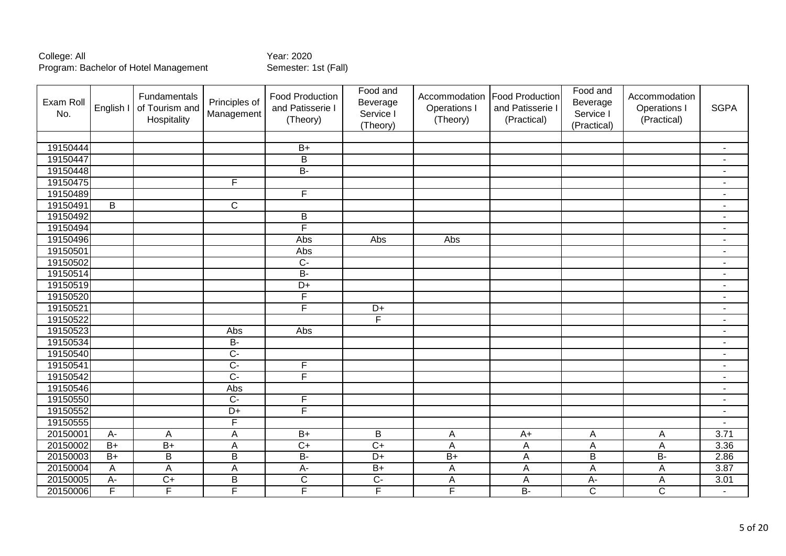| Exam Roll<br>No. | English I       | Fundamentals<br>of Tourism and<br>Hospitality | Principles of<br>Management | Food Production<br>and Patisserie I<br>(Theory) | Food and<br>Beverage<br>Service I<br>(Theory) | Accommodation<br>Operations I<br>(Theory) | <b>Food Production</b><br>and Patisserie I<br>(Practical) | Food and<br>Beverage<br>Service I<br>(Practical) | Accommodation<br>Operations I<br>(Practical) | <b>SGPA</b>              |
|------------------|-----------------|-----------------------------------------------|-----------------------------|-------------------------------------------------|-----------------------------------------------|-------------------------------------------|-----------------------------------------------------------|--------------------------------------------------|----------------------------------------------|--------------------------|
|                  |                 |                                               |                             |                                                 |                                               |                                           |                                                           |                                                  |                                              |                          |
| 19150444         |                 |                                               |                             | $B+$                                            |                                               |                                           |                                                           |                                                  |                                              | $\blacksquare$           |
| 19150447         |                 |                                               |                             | $\overline{B}$                                  |                                               |                                           |                                                           |                                                  |                                              | $\blacksquare$           |
| 19150448         |                 |                                               |                             | $B -$                                           |                                               |                                           |                                                           |                                                  |                                              | $\blacksquare$           |
| 19150475         |                 |                                               | $\overline{F}$              |                                                 |                                               |                                           |                                                           |                                                  |                                              | $\blacksquare$           |
| 19150489         |                 |                                               |                             | $\overline{F}$                                  |                                               |                                           |                                                           |                                                  |                                              | $\sim$                   |
| 19150491         | $\overline{B}$  |                                               | $\overline{C}$              |                                                 |                                               |                                           |                                                           |                                                  |                                              | $\blacksquare$           |
| 19150492         |                 |                                               |                             | B                                               |                                               |                                           |                                                           |                                                  |                                              | $\blacksquare$           |
| 19150494         |                 |                                               |                             | F                                               |                                               |                                           |                                                           |                                                  |                                              | $\blacksquare$           |
| 19150496         |                 |                                               |                             | Abs                                             | Abs                                           | Abs                                       |                                                           |                                                  |                                              | $\overline{\phantom{a}}$ |
| 19150501         |                 |                                               |                             | Abs                                             |                                               |                                           |                                                           |                                                  |                                              | $\blacksquare$           |
| 19150502         |                 |                                               |                             | $\overline{C}$                                  |                                               |                                           |                                                           |                                                  |                                              | $\blacksquare$           |
| 19150514         |                 |                                               |                             | $B -$                                           |                                               |                                           |                                                           |                                                  |                                              | $\sim$                   |
| 19150519         |                 |                                               |                             | $\overline{D+}$                                 |                                               |                                           |                                                           |                                                  |                                              | $\blacksquare$           |
| 19150520         |                 |                                               |                             | F                                               |                                               |                                           |                                                           |                                                  |                                              | $\blacksquare$           |
| 19150521         |                 |                                               |                             | F                                               | $D+$                                          |                                           |                                                           |                                                  |                                              | $\overline{\phantom{a}}$ |
| 19150522         |                 |                                               |                             |                                                 | F                                             |                                           |                                                           |                                                  |                                              | $\blacksquare$           |
| 19150523         |                 |                                               | Abs                         | Abs                                             |                                               |                                           |                                                           |                                                  |                                              | $\blacksquare$           |
| 19150534         |                 |                                               | <b>B-</b>                   |                                                 |                                               |                                           |                                                           |                                                  |                                              | $\blacksquare$           |
| 19150540         |                 |                                               | $\overline{C}$              |                                                 |                                               |                                           |                                                           |                                                  |                                              | $\blacksquare$           |
| 19150541         |                 |                                               | $\overline{C}$              | F                                               |                                               |                                           |                                                           |                                                  |                                              | $\blacksquare$           |
| 19150542         |                 |                                               | $\overline{C}$              | F                                               |                                               |                                           |                                                           |                                                  |                                              | $\sim$                   |
| 19150546         |                 |                                               | Abs                         |                                                 |                                               |                                           |                                                           |                                                  |                                              | $\blacksquare$           |
| 19150550         |                 |                                               | $\overline{C}$              | F                                               |                                               |                                           |                                                           |                                                  |                                              | $\blacksquare$           |
| 19150552         |                 |                                               | $\overline{D+}$             | $\overline{\mathsf{F}}$                         |                                               |                                           |                                                           |                                                  |                                              | $\blacksquare$           |
| 19150555         |                 |                                               | $\mathsf{F}$                |                                                 |                                               |                                           |                                                           |                                                  |                                              | $\blacksquare$           |
| 20150001         | A-              | A                                             | A                           | $B+$                                            | $\overline{B}$                                | A                                         | $A+$                                                      | Α                                                | A                                            | 3.71                     |
| 20150002         | $B+$            | $B+$                                          | A                           | $C+$                                            | $\overline{C}$                                | $\overline{A}$                            | A                                                         | Α                                                | A                                            | 3.36                     |
| 20150003         | $\overline{B+}$ | $\overline{B}$                                | $\overline{B}$              | $B -$                                           | $\overline{D+}$                               | $\overline{B+}$                           | $\overline{A}$                                            | B                                                | $B -$                                        | 2.86                     |
| 20150004         | A               | A                                             | A                           | $\overline{A}$                                  | $B+$                                          | A                                         | A                                                         | A                                                | A                                            | 3.87                     |
| 20150005         | $A -$           | $\overline{C+}$                               | $\overline{B}$              | $\overline{C}$                                  | $\overline{C}$                                | $\overline{A}$                            | A                                                         | A-                                               | A                                            | 3.01                     |
| 20150006         | $\overline{F}$  | F                                             | F                           | F                                               | $\overline{F}$                                | F                                         | $B -$                                                     | $\overline{C}$                                   | $\overline{\text{C}}$                        | $\sim$                   |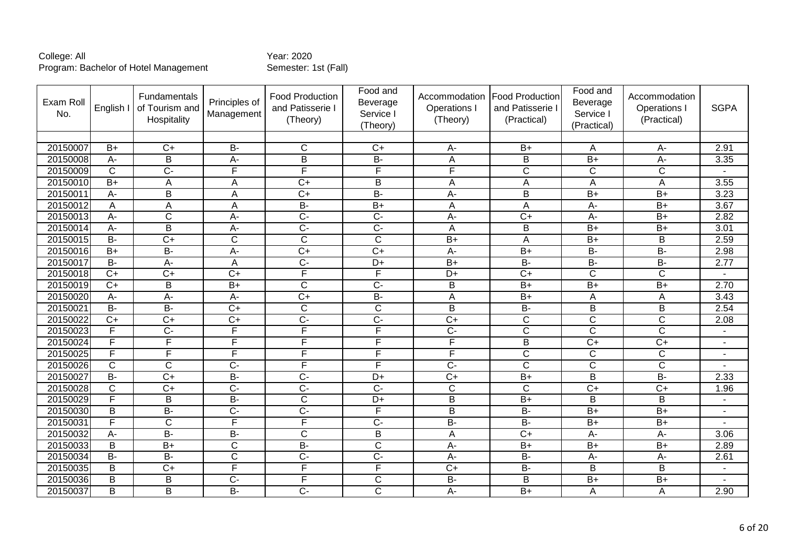| Exam Roll<br>No. | English I      | Fundamentals<br>of Tourism and<br>Hospitality | Principles of<br>Management | <b>Food Production</b><br>and Patisserie I<br>(Theory) | Food and<br>Beverage<br>Service I<br>(Theory) | Accommodation<br>Operations I<br>(Theory) | <b>Food Production</b><br>and Patisserie I<br>(Practical) | Food and<br>Beverage<br>Service I<br>(Practical) | Accommodation<br>Operations<br>(Practical) | <b>SGPA</b>    |
|------------------|----------------|-----------------------------------------------|-----------------------------|--------------------------------------------------------|-----------------------------------------------|-------------------------------------------|-----------------------------------------------------------|--------------------------------------------------|--------------------------------------------|----------------|
|                  |                |                                               |                             |                                                        |                                               |                                           |                                                           |                                                  |                                            |                |
| 20150007         | $B+$           | $C+$                                          | <b>B-</b>                   | $\mathsf{C}$                                           | $C+$                                          | A-                                        | $B+$                                                      | A                                                | A-                                         | 2.91           |
| 20150008         | A-             | $\overline{B}$                                | $A-$                        | $\overline{B}$                                         | $B -$                                         | A                                         | $\overline{\mathsf{B}}$                                   | $B+$                                             | $A -$                                      | 3.35           |
| 20150009         | $\overline{C}$ | $\overline{C}$                                | $\overline{\mathsf{F}}$     | F                                                      | F                                             | F                                         | $\overline{C}$                                            | $\overline{C}$                                   | $\overline{C}$                             |                |
| 20150010         | $B+$           | A                                             | A                           | $\overline{C}$                                         | B                                             | A                                         | A                                                         | A                                                | A                                          | 3.55           |
| 20150011         | A-             | $\overline{\mathsf{B}}$                       | A                           | $\overline{C+}$                                        | B-                                            | A-                                        | $\overline{\mathsf{B}}$                                   | $\overline{B+}$                                  | $\overline{B+}$                            | 3.23           |
| 20150012         | A              | A                                             | A                           | $\overline{B}$                                         | $B+$                                          | $\overline{A}$                            | A                                                         | А-                                               | $\overline{B+}$                            | 3.67           |
| 20150013         | A-             | $\mathsf{C}$                                  | $A -$                       | $\overline{C}$                                         | $\overline{C}$                                | A-                                        | $C+$                                                      | A-                                               | $B+$                                       | 2.82           |
| 20150014         | $\overline{A}$ | B                                             | $\overline{A}$              | $\overline{C}$                                         | $\overline{C}$                                | A                                         | $\overline{B}$                                            | $\overline{B+}$                                  | $B+$                                       | 3.01           |
| 20150015         | <b>B-</b>      | $\overline{C+}$                               | C                           | $\mathsf C$                                            | $\mathsf{C}$                                  | $B+$                                      | A                                                         | $B+$                                             | B                                          | 2.59           |
| 20150016         | $B+$           | $\overline{B}$                                | $A-$                        | $\overline{C+}$                                        | $\overline{C+}$                               | A-                                        | $\overline{B+}$                                           | $B -$                                            | $B -$                                      | 2.98           |
| 20150017         | $\overline{B}$ | $\overline{A}$                                | A                           | $\overline{C}$                                         | $\overline{D+}$                               | $\overline{B+}$                           | $B -$                                                     | $B -$                                            | $B -$                                      | 2.77           |
| 20150018         | $\overline{C}$ | $\overline{C}$                                | $\overline{C+}$             | F                                                      | $\overline{\mathsf{F}}$                       | $D+$                                      | $\overline{C}$                                            | $\overline{C}$                                   | $\overline{C}$                             |                |
| 20150019         | $\overline{C}$ | B                                             | $\overline{B+}$             | $\overline{C}$                                         | $\overline{C}$                                | B                                         | $B+$                                                      | $B+$                                             | $B+$                                       | 2.70           |
| 20150020         | A-             | $\overline{A}$                                | A-                          | $\overline{C+}$                                        | $B -$                                         | $\overline{A}$                            | $\overline{B}$                                            | A                                                | A                                          | 3.43           |
| 20150021         | <b>B-</b>      | $\overline{B}$                                | $\overline{C+}$             | $\mathsf C$                                            | $\mathsf{C}$                                  | B                                         | <b>B-</b>                                                 | B                                                | B                                          | 2.54           |
| 20150022         | $C+$           | $C+$                                          | $C+$                        | $\overline{C}$                                         | $\overline{C}$                                | $C+$                                      | $\mathsf{C}$                                              | $\mathsf{C}$                                     | C                                          | 2.08           |
| 20150023         | F              | $\overline{C}$                                | F                           | F                                                      | F                                             | $\overline{C}$                            | $\overline{\text{c}}$                                     | $\overline{\text{c}}$                            | $\overline{\mathsf{C}}$                    |                |
| 20150024         | F              | E                                             | F                           | F                                                      | F                                             | F                                         | B                                                         | $C+$                                             | $C+$                                       |                |
| 20150025         | F              | F                                             | $\overline{F}$              | F                                                      | F                                             | F                                         | $\overline{C}$                                            | $\overline{C}$                                   | $\overline{C}$                             | $\sim$         |
| 20150026         | $\overline{C}$ | $\overline{C}$                                | $\overline{C}$              | F                                                      | F                                             | $\overline{C}$                            | $\overline{\text{c}}$                                     | $\overline{\mathsf{C}}$                          | $\overline{\text{c}}$                      |                |
| 20150027         | $B -$          | $\overline{C+}$                               | B-                          | $\overline{C}$                                         | $D+$                                          | $\overline{C+}$                           | $\overline{B+}$                                           | $\overline{B}$                                   | $B -$                                      | 2.33           |
| 20150028         | $\mathsf{C}$   | $\overline{C}$                                | $\overline{C}$              | $\overline{C}$                                         | $\overline{C}$                                | $\mathsf C$                               | $\mathsf{C}$                                              | $\overline{C}$                                   | $\overline{C}$                             | 1.96           |
| 20150029         | F              | $\overline{B}$                                | $\overline{B}$              | $\overline{\text{c}}$                                  | $\overline{D+}$                               | $\overline{B}$                            | $B+$                                                      | $\overline{B}$                                   | $\overline{B}$                             | $\sim$         |
| 20150030         | B              | $B -$                                         | $\overline{C}$              | $\overline{C}$                                         | $\overline{F}$                                | $\overline{B}$                            | $\overline{B}$                                            | $\overline{B+}$                                  | $\overline{B+}$                            |                |
| 20150031         | F              | $\mathsf{C}$                                  | F                           | F                                                      | $\overline{C}$                                | <b>B-</b>                                 | <b>B-</b>                                                 | $B+$                                             | $B+$                                       |                |
| 20150032         | A-             | $\overline{B}$                                | $B -$                       | $\overline{\text{c}}$                                  | $\overline{B}$                                | A                                         | $\overline{C+}$                                           | $\overline{A}$ -                                 | $\overline{A}$                             | 3.06           |
| 20150033         | B              | $B+$                                          | $\mathsf{C}$                | <b>B-</b>                                              | $\mathsf{C}$                                  | A-                                        | $B+$                                                      | $B+$                                             | $B+$                                       | 2.89           |
| 20150034         | $\overline{B}$ | $\overline{B}$                                | $\overline{C}$              | $\overline{C}$                                         | $\overline{C}$                                | $\overline{A}$ -                          | $\overline{B}$                                            | A-                                               | A-                                         | 2.61           |
| 20150035         | B              | $\overline{C}$                                | F                           | F                                                      | E                                             | $\overline{C}$                            | $\overline{B}$                                            | B                                                | B                                          | $\blacksquare$ |
| 20150036         | B              | B                                             | $\overline{C}$              | F                                                      | $\overline{C}$                                | $B -$                                     | B                                                         | $\overline{B+}$                                  | $\overline{B+}$                            |                |
| 20150037         | B              | B                                             | B-                          | $\overline{C}$ -                                       | $\overline{C}$                                | A-                                        | $B+$                                                      | A                                                | A                                          | 2.90           |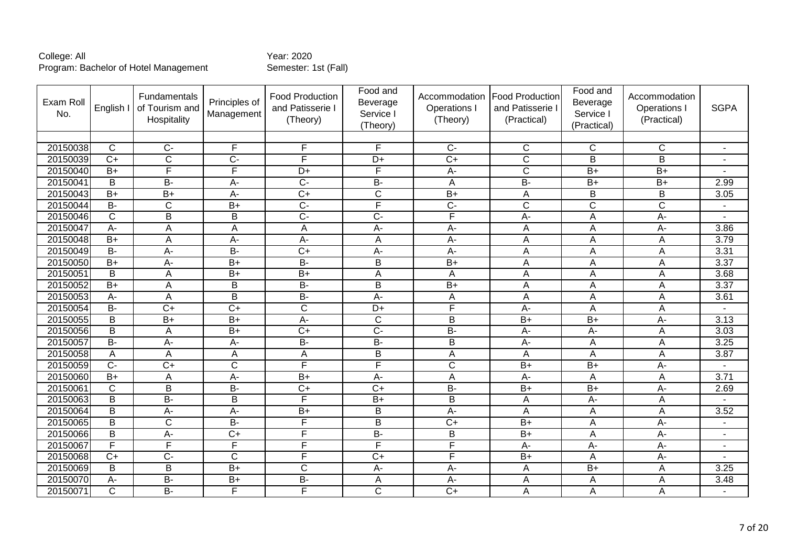| Exam Roll<br>No. | English I             | Fundamentals<br>of Tourism and<br>Hospitality | Principles of<br>Management | <b>Food Production</b><br>and Patisserie I<br>(Theory) | Food and<br>Beverage<br>Service I<br>(Theory) | Accommodation<br>Operations I<br>(Theory) | <b>Food Production</b><br>and Patisserie I<br>(Practical) | Food and<br>Beverage<br>Service I<br>(Practical) | Accommodation<br><b>Operations</b><br>(Practical) | <b>SGPA</b>              |
|------------------|-----------------------|-----------------------------------------------|-----------------------------|--------------------------------------------------------|-----------------------------------------------|-------------------------------------------|-----------------------------------------------------------|--------------------------------------------------|---------------------------------------------------|--------------------------|
|                  |                       |                                               |                             |                                                        |                                               |                                           |                                                           |                                                  |                                                   |                          |
| 20150038         | $\mathsf{C}$          | $\overline{C}$                                | F                           | F                                                      | F                                             | $C -$                                     | $\mathsf{C}$                                              | $\mathsf{C}$                                     | $\mathsf{C}$                                      | $\blacksquare$           |
| 20150039         | $\overline{C}$        | $\overline{C}$                                | $\overline{C}$              | F                                                      | $\overline{D+}$                               | $\overline{C}$                            | $\overline{C}$                                            | B                                                | B                                                 |                          |
| 20150040         | $B+$                  | F                                             | F                           | $D+$                                                   | F                                             | $A-$                                      | $\overline{C}$                                            | $B+$                                             | $B+$                                              |                          |
| 20150041         | B                     | <b>B-</b>                                     | $A -$                       | $\overline{C}$                                         | <b>B-</b>                                     | A                                         | B-                                                        | $B+$                                             | $B+$                                              | 2.99                     |
| 20150043         | $\overline{B+}$       | $B+$                                          | A-                          | $\overline{C+}$                                        | $\overline{\mathsf{C}}$                       | $B+$                                      | A                                                         | $\overline{B}$                                   | $\overline{B}$                                    | 3.05                     |
| 20150044         | $B -$                 | $\mathsf{C}$                                  | $B+$                        | $\overline{C}$                                         | F                                             | $\overline{C}$                            | $\mathsf{C}$                                              | $\mathsf{C}$                                     | $\overline{C}$                                    | $\overline{\phantom{a}}$ |
| 20150046         | $\overline{\text{c}}$ | $\overline{\mathsf{B}}$                       | B                           | $\overline{C}$                                         | $\overline{C}$                                | $\overline{\mathsf{F}}$                   | $\overline{A}$                                            | $\boldsymbol{\mathsf{A}}$                        | $\overline{A}$                                    |                          |
| 20150047         | A-                    | Α                                             | Α                           | A                                                      | $\overline{A}$                                | $\overline{A}$                            | A                                                         | A                                                | $\overline{A}$ -                                  | 3.86                     |
| 20150048         | $B+$                  | A                                             | A-                          | A-                                                     | A                                             | A-                                        | A                                                         | A                                                | $\overline{A}$                                    | 3.79                     |
| 20150049         | $\overline{B}$        | A-                                            | $\overline{B}$              | $\overline{C}$                                         | $A -$                                         | A-                                        | A                                                         | A                                                | $\overline{A}$                                    | 3.31                     |
| 20150050         | $\overline{B+}$       | $\overline{A}$                                | $B+$                        | $B -$                                                  | $\overline{B}$                                | $B+$                                      | A                                                         | A                                                | A                                                 | 3.37                     |
| 20150051         | B                     | A                                             | $B+$                        | $B+$                                                   | A                                             | A                                         | A                                                         | A                                                | A                                                 | 3.68                     |
| 20150052         | $B+$                  | A                                             | B                           | $\overline{B}$                                         | B                                             | $B+$                                      | A                                                         | A                                                | A                                                 | 3.37                     |
| 20150053         | $A -$                 | A                                             | $\overline{B}$              | $\overline{B}$                                         | $A -$                                         | A                                         | A                                                         | A                                                | A                                                 | 3.61                     |
| 20150054         | $\overline{B}$        | $\overline{C}$                                | $\overline{C+}$             | $\overline{\text{c}}$                                  | $\overline{D+}$                               | $\overline{\mathsf{F}}$                   | A-                                                        | Α                                                | A                                                 |                          |
| 20150055         | B                     | $\overline{B+}$                               | $\overline{B+}$             | A-                                                     | $\overline{C}$                                | B                                         | $B+$                                                      | $\overline{B+}$                                  | A-                                                | 3.13                     |
| 20150056         | $\overline{B}$        | A                                             | $\overline{B}$              | $\overline{C+}$                                        | $\overline{C}$                                | B-                                        | $\overline{A}$ -                                          | $A -$                                            | $\overline{A}$                                    | 3.03                     |
| 20150057         | $B -$                 | A-                                            | $A-$                        | $\overline{B}$                                         | $\overline{B}$                                | B                                         | $A -$                                                     | A                                                | $\overline{A}$                                    | 3.25                     |
| 20150058         | Α                     | Α                                             | Α                           | A                                                      | B                                             | A                                         | A                                                         | Α                                                | A                                                 | 3.87                     |
| 20150059         | $\overline{C}$        | $\overline{C}$                                | $\overline{\mathsf{C}}$     | F                                                      | F                                             | $\overline{\mathsf{C}}$                   | $\overline{B+}$                                           | $\overline{B+}$                                  | $A-$                                              |                          |
| 20150060         | $B+$                  | A                                             | A-                          | $B+$                                                   | $A -$                                         | A                                         | $A -$                                                     | A                                                | $\overline{A}$                                    | 3.71                     |
| 20150061         | $\mathsf{C}$          | B                                             | B-                          | $\overline{C}$                                         | $\overline{C}$                                | $B -$                                     | $B+$                                                      | $\overline{B+}$                                  | $\overline{A}$                                    | 2.69                     |
| 20150063         | $\overline{B}$        | $B -$                                         | $\overline{B}$              | F                                                      | $B+$                                          | $\overline{B}$                            | A                                                         | A-                                               | A                                                 |                          |
| 20150064         | B                     | $A -$                                         | A-                          | $\overline{B+}$                                        | B                                             | $\overline{A}$ -                          | A                                                         | A                                                | $\overline{A}$                                    | 3.52                     |
| 20150065         | B                     | $\mathsf{C}$                                  | $\overline{B}$              | F                                                      | B                                             | $C+$                                      | $B+$                                                      | A                                                | A-                                                |                          |
| 20150066         | $\overline{B}$        | $A -$                                         | $\overline{C+}$             | F                                                      | $\overline{B}$                                | $\overline{B}$                            | $\overline{B+}$                                           | A                                                | $\overline{A}$ -                                  | ٠                        |
| 20150067         | F                     | F                                             | F                           | F                                                      | E                                             | F                                         | A-                                                        | A-                                               | $A -$                                             | $\blacksquare$           |
| 20150068         | $\overline{C}$        | $\overline{C}$                                | $\overline{\text{c}}$       | $\overline{\mathsf{F}}$                                | $\overline{C}$                                | $\overline{\mathsf{F}}$                   | $\overline{B+}$                                           | $\boldsymbol{\mathsf{A}}$                        | $\overline{A}$                                    | L,                       |
| 20150069         | B                     | B                                             | $B+$                        | $\overline{\text{C}}$                                  | $\overline{A}$                                | $\overline{A}$ -                          | A                                                         | $\overline{B+}$                                  | A                                                 | 3.25                     |
| 20150070         | $A -$                 | $B -$                                         | $B+$                        | $\overline{B}$                                         | $\overline{A}$                                | A-                                        | A                                                         | A                                                | $\overline{A}$                                    | 3.48                     |
| 20150071         | $\overline{C}$        | $\overline{B}$                                | F                           | F                                                      | $\overline{C}$                                | $\overline{C}$                            | A                                                         | Α                                                | A                                                 | $\blacksquare$           |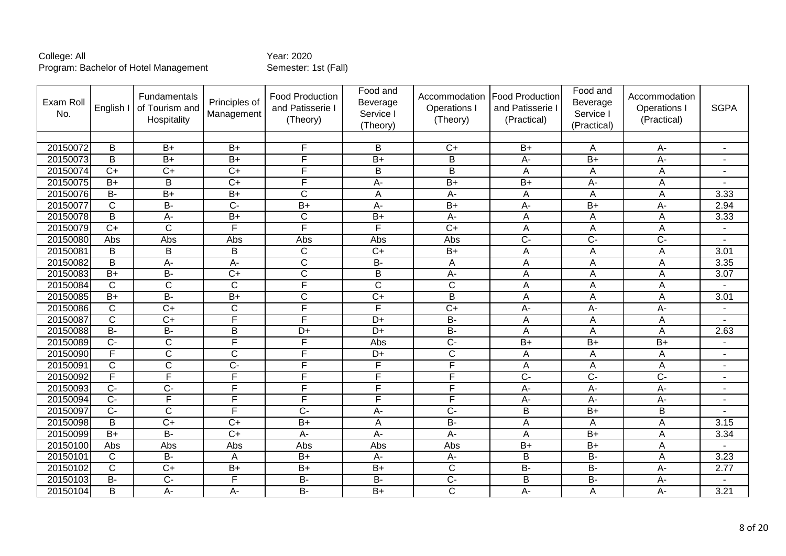| Exam Roll<br>No. | English I        | Fundamentals<br>of Tourism and<br>Hospitality | Principles of<br>Management | <b>Food Production</b><br>and Patisserie I<br>(Theory) | Food and<br>Beverage<br>Service I<br>(Theory) | Accommodation<br>Operations I<br>(Theory) | <b>Food Production</b><br>and Patisserie I<br>(Practical) | Food and<br>Beverage<br>Service I<br>(Practical) | Accommodation<br><b>Operations</b><br>(Practical) | <b>SGPA</b>    |
|------------------|------------------|-----------------------------------------------|-----------------------------|--------------------------------------------------------|-----------------------------------------------|-------------------------------------------|-----------------------------------------------------------|--------------------------------------------------|---------------------------------------------------|----------------|
|                  |                  |                                               |                             |                                                        |                                               |                                           |                                                           |                                                  |                                                   |                |
| 20150072         | B                | $B+$                                          | $B+$                        | F                                                      | B                                             | $C+$                                      | $B+$                                                      | A                                                | $A -$                                             | ٠              |
| 20150073         | $\overline{B}$   | $B+$                                          | $\overline{B}$              | F                                                      | $\overline{B}$                                | $\overline{B}$                            | $\overline{A}$ -                                          | $\overline{B}$                                   | $A -$                                             | $\sim$         |
| 20150074         | $\overline{C}$   | $\overline{C}$                                | $\overline{C}$              | F                                                      | B                                             | $\overline{B}$                            | A                                                         | A                                                | $\overline{A}$                                    | $\sim$         |
| 20150075         | $B+$             | B                                             | $C+$                        | F                                                      | $A -$                                         | $\overline{B+}$                           | $B+$                                                      | A-                                               | $\overline{A}$                                    |                |
| 20150076         | $\overline{B}$   | $\overline{B}$                                | $\overline{B+}$             | $\overline{\mathsf{C}}$                                | A                                             | A-                                        | A                                                         | A                                                | A                                                 | 3.33           |
| 20150077         | $\overline{C}$   | $\overline{B}$                                | $\overline{C}$              | $\overline{B+}$                                        | $A -$                                         | $\overline{B+}$                           | A-                                                        | $B+$                                             | A-                                                | 2.94           |
| 20150078         | B                | A-                                            | $B+$                        | C                                                      | $B+$                                          | A-                                        | A                                                         | A                                                | $\overline{A}$                                    | 3.33           |
| 20150079         | $\overline{C+}$  | $\overline{\text{c}}$                         | F                           | F                                                      | Ε                                             | $\overline{C+}$                           | A                                                         | A                                                | $\overline{A}$                                    | $\sim$         |
| 20150080         | Abs              | Abs                                           | Abs                         | Abs                                                    | Abs                                           | Abs                                       | $\overline{C}$                                            | $\overline{C}$                                   | $\overline{C}$                                    |                |
| 20150081         | B                | B                                             | B                           | $\overline{\text{c}}$                                  | $\overline{C}$                                | $B+$                                      | A                                                         | A                                                | $\overline{A}$                                    | 3.01           |
| 20150082         | B                | $\overline{A}$                                | A-                          | $\overline{\text{C}}$                                  | $\overline{B}$                                | A                                         | Α                                                         | A                                                | A                                                 | 3.35           |
| 20150083         | $B+$             | $B -$                                         | $\overline{C}$              | $\overline{\text{c}}$                                  | B                                             | A-                                        | A                                                         | Α                                                | A                                                 | 3.07           |
| 20150084         | $\mathsf{C}$     | $\overline{C}$                                | $\overline{\text{c}}$       | F                                                      | $\overline{C}$                                | $\overline{C}$                            | A                                                         | A                                                | $\overline{A}$                                    | ä,             |
| 20150085         | $\overline{B+}$  | $\overline{B}$                                | $B+$                        | $\overline{\text{C}}$                                  | $\overline{C}$                                | $\overline{B}$                            | A                                                         | A                                                | $\overline{A}$                                    | 3.01           |
| 20150086         | $\mathsf{C}$     | $\overline{C}$                                | C                           | F                                                      | F                                             | $\overline{C}$                            | A-                                                        | A-                                               | A-                                                | ä,             |
| 20150087         | $\mathsf{C}$     | $C+$                                          | F                           | F                                                      | D+                                            | <b>B-</b>                                 | A                                                         | A                                                | A                                                 |                |
| 20150088         | $B -$            | $\overline{B}$                                | $\overline{B}$              | $\overline{D+}$                                        | $\overline{D+}$                               | $\overline{B}$                            | $\overline{A}$                                            | A                                                | A                                                 | 2.63           |
| 20150089         | $\overline{C}$   | $\mathsf{C}$                                  | F                           | F                                                      | Abs                                           | $\overline{C}$                            | $B+$                                                      | $B+$                                             | $B+$                                              |                |
| 20150090         | F                | $\overline{C}$                                | $\overline{\text{c}}$       | F                                                      | $D+$                                          | $\overline{C}$                            | A                                                         | A                                                | $\overline{A}$                                    | $\blacksquare$ |
| 20150091         | $\overline{C}$   | $\overline{\text{c}}$                         | $\overline{C}$              | F                                                      | F                                             | F                                         | A                                                         | A                                                | $\overline{A}$                                    | $\sim$         |
| 20150092         | F                | $\overline{\mathsf{F}}$                       | F                           | F                                                      | E                                             | F                                         | $\overline{C}$                                            | $\overline{C}$                                   | $\overline{C}$                                    | $\overline{a}$ |
| 20150093         | $\overline{C}$   | $\overline{C}$                                | F                           | F                                                      | F                                             | F                                         | $\overline{A}$                                            | A-                                               | $\overline{A}$                                    |                |
| 20150094         | $\overline{C}$ - | F                                             | F                           | F                                                      | F                                             | F                                         | A-                                                        | $\overline{A}$ -                                 | $\overline{A}$                                    |                |
| 20150097         | $\overline{C}$   | $\overline{C}$                                | F                           | $\overline{C}$                                         | $A -$                                         | $\overline{C}$                            | B                                                         | $B+$                                             | B                                                 |                |
| 20150098         | B                | $C+$                                          | $C+$                        | $B+$                                                   | A                                             | <b>B-</b>                                 | A                                                         | A                                                | A                                                 | 3.15           |
| 20150099         | $\overline{B+}$  | $B -$                                         | $\overline{C+}$             | $\overline{A}$ -                                       | $\overline{A}$                                | $\overline{A}$ -                          | A                                                         | $\overline{B+}$                                  | A                                                 | 3.34           |
| 20150100         | Abs              | Abs                                           | Abs                         | Abs                                                    | Abs                                           | Abs                                       | B+                                                        | $B+$                                             | A                                                 |                |
| 20150101         | $\mathsf{C}$     | $\overline{B}$                                | A                           | $\overline{B+}$                                        | $A -$                                         | A-                                        | B                                                         | $B -$                                            | $\overline{A}$                                    | 3.23           |
| 20150102         | C                | $\overline{C}$                                | $B+$                        | $\overline{B+}$                                        | $B+$                                          | $\mathsf{C}$                              | $\overline{B}$                                            | $\overline{B}$                                   | $\overline{A}$ -                                  | 2.77           |
| 20150103         | $\overline{B}$   | $\overline{C}$                                | F                           | $\overline{B}$                                         | $\overline{B}$                                | $\overline{C}$                            | B                                                         | B-                                               | A-                                                |                |
| 20150104         | B                | $\overline{A}$ -                              | A-                          | $\overline{B}$                                         | $\overline{B+}$                               | $\overline{\text{c}}$                     | A-                                                        | Α                                                | A-                                                | 3.21           |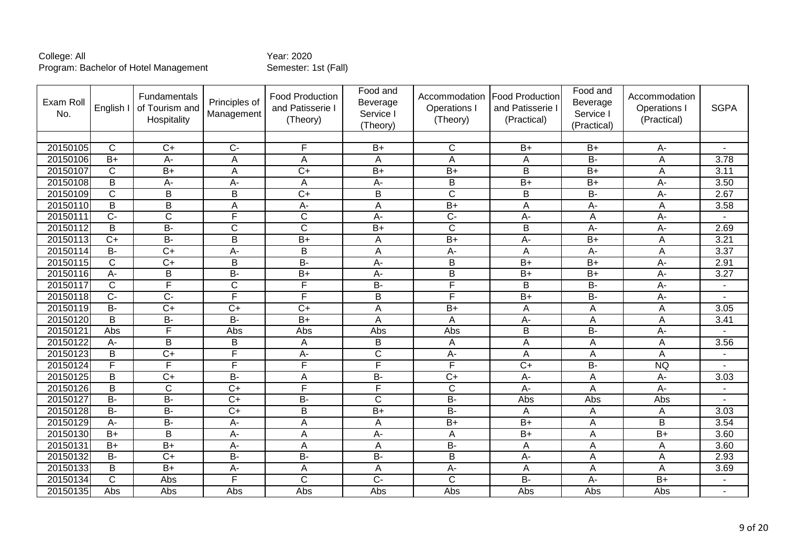| Exam Roll<br>No. | English I             | Fundamentals<br>of Tourism and<br>Hospitality | Principles of<br>Management | Food Production<br>and Patisserie I<br>(Theory) | Food and<br>Beverage<br>Service I<br>(Theory) | Accommodation<br>Operations I<br>(Theory) | <b>Food Production</b><br>and Patisserie I<br>(Practical) | Food and<br>Beverage<br>Service I<br>(Practical) | Accommodation<br>Operations I<br>(Practical) | <b>SGPA</b>    |
|------------------|-----------------------|-----------------------------------------------|-----------------------------|-------------------------------------------------|-----------------------------------------------|-------------------------------------------|-----------------------------------------------------------|--------------------------------------------------|----------------------------------------------|----------------|
|                  |                       |                                               |                             |                                                 |                                               |                                           |                                                           |                                                  |                                              |                |
| 20150105         | C                     | $C+$                                          | $C -$                       | F                                               | $B+$                                          | C                                         | $B+$                                                      | $B+$                                             | А-                                           |                |
| 20150106         | $\overline{B+}$       | $A -$                                         | A                           | A                                               | A                                             | $\overline{A}$                            | A                                                         | $B -$                                            | A                                            | 3.78           |
| 20150107         | C                     | $B+$                                          | A                           | $C+$                                            | $B+$                                          | $B+$                                      | B                                                         | $B+$                                             | A                                            | 3.11           |
| 20150108         | B                     | A-                                            | A-                          | A                                               | A-                                            | B                                         | $B+$                                                      | $B+$                                             | A-                                           | 3.50           |
| 20150109         | $\overline{\text{c}}$ | $\overline{B}$                                | $\overline{B}$              | $\overline{C}$                                  | $\overline{B}$                                | $\overline{\text{c}}$                     | $\overline{\mathsf{B}}$                                   | $B -$                                            | $\overline{A}$                               | 2.67           |
| 20150110         | B                     | B                                             | A                           | $\overline{A}$                                  | A                                             | $B+$                                      | A                                                         | A-                                               | A                                            | 3.58           |
| 20150111         | $\overline{C}$        | $\overline{C}$                                | E                           | $\overline{\text{C}}$                           | $A -$                                         | $\overline{C}$                            | $A -$                                                     | A                                                | $A -$                                        |                |
| 20150112         | B                     | $B -$                                         | $\overline{\text{c}}$       | $\overline{\text{c}}$                           | $B+$                                          | $\overline{\text{c}}$                     | $\overline{B}$                                            | $\overline{A}$ -                                 | $A -$                                        | 2.69           |
| 20150113         | $C+$                  | $B -$                                         | B                           | $B+$                                            | A                                             | $B+$                                      | A-                                                        | $B+$                                             | A                                            | 3.21           |
| 20150114         | $\overline{B}$        | $\overline{C+}$                               | A-                          | $\overline{B}$                                  | A                                             | A-                                        | A                                                         | A-                                               | A                                            | 3.37           |
| 20150115         | $\overline{C}$        | $\overline{C+}$                               | $\overline{B}$              | $B -$                                           | $\overline{A}$                                | B                                         | $\overline{B+}$                                           | $\overline{B}$                                   | $A -$                                        | 2.91           |
| 20150116         | A-                    | B                                             | <b>B-</b>                   | $B+$                                            | A-                                            | B                                         | $B+$                                                      | $B+$                                             | A-                                           | 3.27           |
| 20150117         | $\mathsf{C}$          | F                                             | $\overline{\text{c}}$       | F                                               | $\overline{B}$                                | F                                         | B                                                         | $\overline{B}$                                   | $A -$                                        | $\blacksquare$ |
| 20150118         | $\overline{C}$        | $\overline{C}$                                | F                           | F                                               | $\overline{B}$                                | F                                         | $\overline{B+}$                                           | $B -$                                            | $\overline{A}$                               | $\blacksquare$ |
| 20150119         | <b>B-</b>             | $C+$                                          | $C+$                        | $C+$                                            | A                                             | $B+$                                      | Α                                                         | Α                                                | A                                            | 3.05           |
| 20150120         | B                     | $B -$                                         | $\overline{B}$              | $\overline{B+}$                                 | A                                             | $\overline{A}$                            | $\overline{A}$                                            | A                                                | A                                            | 3.41           |
| 20150121         | Abs                   | F                                             | Abs                         | Abs                                             | Abs                                           | Abs                                       | $\overline{\mathsf{B}}$                                   | $B -$                                            | $A -$                                        |                |
| 20150122         | A-                    | B                                             | B                           | A                                               | B                                             | $\overline{A}$                            | A                                                         | A                                                | A                                            | 3.56           |
| 20150123         | B                     | $\overline{C+}$                               | F                           | $A -$                                           | $\overline{\text{c}}$                         | A-                                        | A                                                         | A                                                | A                                            | ٠              |
| 20150124         | F                     | F                                             | F                           | F                                               | F                                             | F                                         | $\overline{C+}$                                           | $B -$                                            | <b>NQ</b>                                    |                |
| 20150125         | B                     | $\overline{C}$                                | B-                          | A                                               | $\overline{B}$                                | $C+$                                      | $A -$                                                     | A                                                | $A -$                                        | 3.03           |
| 20150126         | B                     | $\mathsf{C}$                                  | $\overline{C}$              | F                                               | F                                             | $\mathsf{C}$                              | $A -$                                                     | A                                                | $A -$                                        | ٠              |
| 20150127         | $\overline{B}$        | $B -$                                         | $\overline{C}$              | $\overline{B}$                                  | $\overline{C}$                                | $B -$                                     | Abs                                                       | Abs                                              | Abs                                          |                |
| 20150128         | $\overline{B}$        | $B -$                                         | $\overline{C+}$             | $\overline{B}$                                  | $\overline{B+}$                               | $B -$                                     | A                                                         | A                                                | A                                            | 3.03           |
| 20150129         | A-                    | $B -$                                         | A-                          | A                                               | A                                             | $B+$                                      | $B+$                                                      | A                                                | B                                            | 3.54           |
| 20150130         | $B+$                  | B                                             | A-                          | A                                               | A-                                            | A                                         | $B+$                                                      | Α                                                | $\overline{B}$                               | 3.60           |
| 20150131         | $B+$                  | $\overline{B}$                                | A-                          | A                                               | A                                             | $B -$                                     | A                                                         | A                                                | A                                            | 3.60           |
| 20150132         | $B -$                 | $\overline{C}$                                | <b>B-</b>                   | <b>B-</b>                                       | <b>B-</b>                                     | B                                         | A-                                                        | A                                                | A                                            | 2.93           |
| 20150133         | $\overline{B}$        | $\overline{B+}$                               | $A -$                       | A                                               | A                                             | $\overline{A}$                            | Α                                                         | A                                                | A                                            | 3.69           |
| 20150134         | $\overline{C}$        | Abs                                           | E                           | $\overline{\text{c}}$                           | $\overline{C}$                                | $\overline{C}$                            | $\overline{B}$                                            | A-                                               | $\overline{B+}$                              | $\blacksquare$ |
| 20150135         | Abs                   | Abs                                           | Abs                         | Abs                                             | Abs                                           | Abs                                       | Abs                                                       | Abs                                              | Abs                                          | $\sim$         |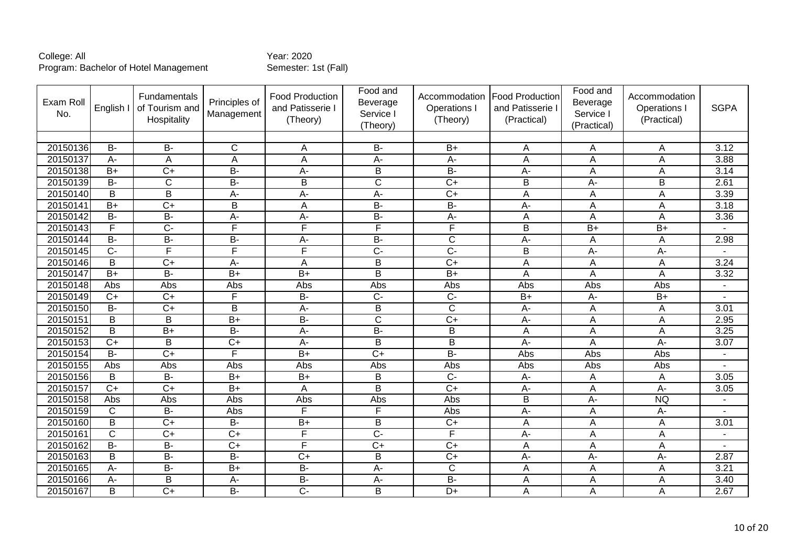| Exam Roll<br>No. | English I      | Fundamentals<br>of Tourism and<br>Hospitality | Principles of<br>Management | <b>Food Production</b><br>and Patisserie I<br>(Theory) | Food and<br>Beverage<br>Service I<br>(Theory) | Accommodation<br>Operations I<br>(Theory) | <b>Food Production</b><br>and Patisserie I<br>(Practical) | Food and<br>Beverage<br>Service I<br>(Practical) | Accommodation<br>Operations<br>(Practical) | <b>SGPA</b>    |
|------------------|----------------|-----------------------------------------------|-----------------------------|--------------------------------------------------------|-----------------------------------------------|-------------------------------------------|-----------------------------------------------------------|--------------------------------------------------|--------------------------------------------|----------------|
|                  |                |                                               |                             |                                                        |                                               |                                           |                                                           |                                                  |                                            |                |
| 20150136         | <b>B-</b>      | <b>B-</b>                                     | $\mathsf{C}$                | Α                                                      | <b>B-</b>                                     | $B+$                                      | Α                                                         | A                                                | Α                                          | 3.12           |
| 20150137         | $A -$          | $\overline{A}$                                | A                           | $\overline{A}$                                         | $\overline{A}$ -                              | $A -$                                     | A                                                         | A                                                | A                                          | 3.88           |
| 20150138         | $B+$           | $\overline{C+}$                               | B-                          | A-                                                     | $\overline{B}$                                | $B -$                                     | A-                                                        | A                                                | A                                          | 3.14           |
| 20150139         | $B -$          | $\mathsf{C}$                                  | B-                          | B                                                      | $\overline{C}$                                | $\overline{C+}$                           | B                                                         | A-                                               | B                                          | 2.61           |
| 20150140         | $\overline{B}$ | $\overline{\mathsf{B}}$                       | $A -$                       | A-                                                     | A-                                            | $\overline{C+}$                           | Α                                                         | A                                                | A                                          | 3.39           |
| 20150141         | $B+$           | $\overline{C+}$                               | B                           | A                                                      | $\overline{B}$                                | $\overline{B}$                            | A-                                                        | A                                                | A                                          | 3.18           |
| 20150142         | <b>B-</b>      | <b>B-</b>                                     | A-                          | A-                                                     | <b>B-</b>                                     | A-                                        | A                                                         | A                                                | A                                          | 3.36           |
| 20150143         | F              | $\overline{C}$ -                              | F                           | F                                                      | F                                             | F                                         | $\overline{B}$                                            | $\overline{B+}$                                  | $B+$                                       |                |
| 20150144         | <b>B-</b>      | $\overline{B}$                                | B-                          | A-                                                     | <b>B-</b>                                     | $\mathsf{C}$                              | A-                                                        | A                                                | A                                          | 2.98           |
| 20150145         | $\overline{C}$ | F                                             | $\overline{\mathsf{F}}$     | F                                                      | $\overline{C}$                                | $\overline{C}$                            | B                                                         | А-                                               | A-                                         |                |
| 20150146         | B              | $\overline{C+}$                               | A-                          | Α                                                      | B                                             | $\overline{C+}$                           | Α                                                         | Α                                                | A                                          | 3.24           |
| 20150147         | $B+$           | $\overline{B}$                                | $\overline{B+}$             | $\overline{B+}$                                        | $\overline{B}$                                | $\overline{B+}$                           | A                                                         | A                                                | A                                          | 3.32           |
| 20150148         | Abs            | Abs                                           | Abs                         | Abs                                                    | Abs                                           | Abs                                       | Abs                                                       | Abs                                              | Abs                                        |                |
| 20150149         | $\overline{C}$ | $\overline{C}$                                | F                           | $\overline{B}$                                         | $\overline{C}$                                | $\overline{C}$                            | $\overline{B}$                                            | $\overline{A}$ -                                 | $\overline{B+}$                            | $\overline{a}$ |
| 20150150         | $B -$          | $\overline{C+}$                               | B                           | A-                                                     | B                                             | $\mathsf{C}$                              | A-                                                        | A                                                | A                                          | 3.01           |
| 20150151         | B              | B                                             | $B+$                        | <b>B-</b>                                              | $\mathsf{C}$                                  | $C+$                                      | A-                                                        | A                                                | A                                          | 2.95           |
| 20150152         | $\overline{B}$ | $B+$                                          | B-                          | $A -$                                                  | $\overline{B}$                                | $\overline{B}$                            | A                                                         | $\overline{A}$                                   | A                                          | 3.25           |
| 20150153         | $C+$           | B                                             | $C+$                        | А-                                                     | B                                             | B                                         | A-                                                        | Α                                                | A-                                         | 3.07           |
| 20150154         | $\overline{B}$ | $\overline{C+}$                               | F                           | $\overline{B+}$                                        | $\overline{C+}$                               | $\overline{B}$                            | Abs                                                       | Abs                                              | Abs                                        |                |
| 20150155         | <b>Abs</b>     | Abs                                           | Abs                         | Abs                                                    | Abs                                           | Abs                                       | Abs                                                       | Abs                                              | Abs                                        |                |
| 20150156         | B              | $B -$                                         | $\overline{B+}$             | $\overline{B+}$                                        | B                                             | $\overline{C}$                            | A-                                                        | $\overline{A}$                                   | $\overline{A}$                             | 3.05           |
| 20150157         | $\overline{C}$ | $\overline{C}$                                | $\overline{B+}$             | A                                                      | B                                             | $\overline{C+}$                           | A-                                                        | A                                                | $\overline{A}$                             | 3.05           |
| 20150158         | <b>Abs</b>     | Abs                                           | Abs                         | Abs                                                    | Abs                                           | Abs                                       | $\overline{B}$                                            | $\overline{A}$ -                                 | <b>NQ</b>                                  |                |
| 20150159         | $\mathsf{C}$   | $\overline{B}$                                | Abs                         | F                                                      | $\overline{F}$                                | Abs                                       | A-                                                        | $\overline{A}$                                   | A-                                         |                |
| 20150160         | B              | $C+$                                          | <b>B-</b>                   | $B+$                                                   | B                                             | $C+$                                      | A                                                         | A                                                | A                                          | 3.01           |
| 20150161         | $\overline{C}$ | $\overline{C+}$                               | $\overline{C+}$             | F                                                      | $\overline{C}$ -                              | F                                         | A-                                                        | A                                                | A                                          |                |
| 20150162         | $B -$          | <b>B-</b>                                     | $C+$                        | F                                                      | $C+$                                          | $C+$                                      | A                                                         | Α                                                | A                                          |                |
| 20150163         | B              | $\overline{B}$                                | <b>B-</b>                   | $\overline{C}$                                         | B                                             | $\overline{C+}$                           | A-                                                        | $\overline{A}$ -                                 | $A -$                                      | 2.87           |
| 20150165         | A-             | $\overline{B}$                                | $B+$                        | $\overline{B}$                                         | $\overline{A}$                                | $\mathsf{C}$                              | A                                                         | A                                                | A                                          | 3.21           |
| 20150166         | $A -$          | B                                             | $A -$                       | $\overline{B}$                                         | A-                                            | B-                                        | A                                                         | $\overline{A}$                                   | A                                          | 3.40           |
| 20150167         | B              | $\overline{C+}$                               | $\overline{B}$              | $\overline{C}$ -                                       | B                                             | $D+$                                      | A                                                         | A                                                | A                                          | 2.67           |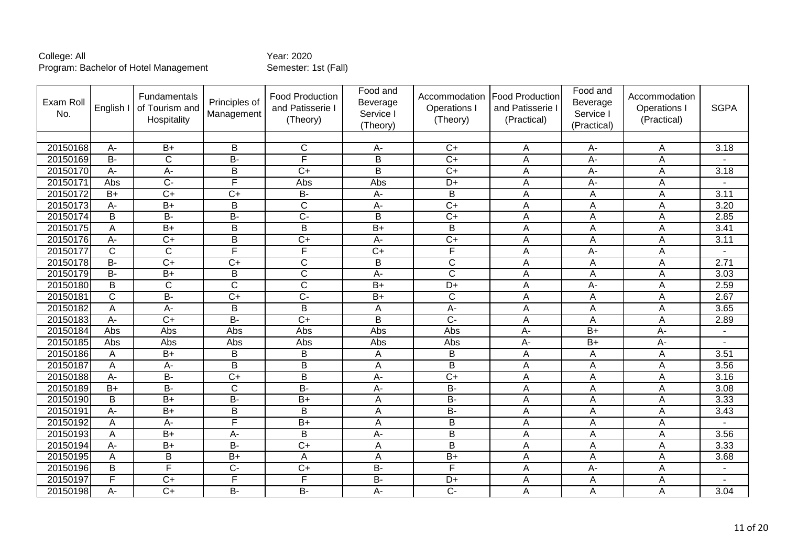| Exam Roll<br>No. | English I      | Fundamentals<br>of Tourism and<br>Hospitality | Principles of<br>Management | <b>Food Production</b><br>and Patisserie I<br>(Theory) | Food and<br>Beverage<br>Service I<br>(Theory) | Accommodation<br>Operations I<br>(Theory) | <b>Food Production</b><br>and Patisserie I<br>(Practical) | Food and<br>Beverage<br>Service I<br>(Practical) | Accommodation<br>Operations<br>(Practical) | <b>SGPA</b>       |
|------------------|----------------|-----------------------------------------------|-----------------------------|--------------------------------------------------------|-----------------------------------------------|-------------------------------------------|-----------------------------------------------------------|--------------------------------------------------|--------------------------------------------|-------------------|
|                  |                |                                               |                             |                                                        |                                               |                                           |                                                           |                                                  |                                            |                   |
| 20150168         | A-             | $B+$                                          | B                           | $\mathsf{C}$                                           | A-                                            | $C+$                                      | Α                                                         | А-                                               | A                                          | 3.18              |
| 20150169         | $\overline{B}$ | $\overline{\text{c}}$                         | B-                          | F                                                      | $\overline{B}$                                | $\overline{C}$                            | A                                                         | $A -$                                            | A                                          |                   |
| 20150170         | A-             | A-                                            | B                           | $\overline{C}$                                         | $\overline{B}$                                | $\overline{C+}$                           | A                                                         | $\overline{A}$ -                                 | A                                          | $\overline{3.18}$ |
| 20150171         | Abs            | $\overline{C}$                                | F                           | Abs                                                    | Abs                                           | $D+$                                      | A                                                         | A-                                               | A                                          |                   |
| 20150172         | $\overline{B}$ | $\overline{C+}$                               | $C+$                        | $B -$                                                  | A-                                            | $\overline{B}$                            | Α                                                         | A                                                | A                                          | 3.11              |
| 20150173         | $A -$          | $\overline{B+}$                               | B                           | $\overline{\text{c}}$                                  | $A -$                                         | $\overline{C+}$                           | A                                                         | A                                                | A                                          | 3.20              |
| 20150174         | B              | <b>B-</b>                                     | B-                          | $\overline{C}$                                         | B                                             | $C+$                                      | A                                                         | A                                                | A                                          | 2.85              |
| 20150175         | A              | $B+$                                          | $\overline{B}$              | $\overline{B}$                                         | $B+$                                          | $\overline{B}$                            | A                                                         | A                                                | A                                          | 3.41              |
| 20150176         | $A -$          | $\overline{C+}$                               | B                           | $\overline{C}$                                         | A-                                            | $C+$                                      | A                                                         | A                                                | A                                          | 3.11              |
| 20150177         | $\overline{C}$ | $\overline{C}$                                | $\overline{\mathsf{F}}$     | F                                                      | $\overline{C+}$                               | F                                         | A                                                         | A-                                               | A                                          |                   |
| 20150178         | $\overline{B}$ | $\overline{C+}$                               | $\overline{C+}$             | $\overline{C}$                                         | B                                             | $\overline{C}$                            | Α                                                         | Α                                                | A                                          | 2.71              |
| 20150179         | $\overline{B}$ | $\overline{B+}$                               | B                           | $\overline{\text{c}}$                                  | A-                                            | $\overline{\mathsf{C}}$                   | A                                                         | Α                                                | A                                          | 3.03              |
| 20150180         | B              | $\overline{C}$                                | $\overline{C}$              | $\overline{\text{c}}$                                  | $\overline{B}$                                | $D+$                                      | A                                                         | A-                                               | A                                          | 2.59              |
| 20150181         | $\overline{C}$ | $\overline{B}$                                | $\overline{C+}$             | $\overline{C}$                                         | $B+$                                          | $\overline{C}$                            | A                                                         | A                                                | A                                          | 2.67              |
| 20150182         | A              | A-                                            | B                           | B                                                      | A                                             | A-                                        | A                                                         | A                                                | A                                          | 3.65              |
| 20150183         | $A -$          | $\overline{C+}$                               | В-                          | $C+$                                                   | B                                             | $\overline{C}$                            | A                                                         | A                                                | A                                          | 2.89              |
| 20150184         | <b>Abs</b>     | Abs                                           | Abs                         | Abs                                                    | Abs                                           | Abs                                       | $A -$                                                     | $\overline{B+}$                                  | $A -$                                      |                   |
| 20150185         | Abs            | Abs                                           | Abs                         | Abs                                                    | Abs                                           | Abs                                       | $A -$                                                     | $B+$                                             | $A -$                                      |                   |
| 20150186         | Α              | $\overline{B}$                                | B                           | $\overline{B}$                                         | A                                             | B                                         | A                                                         | A                                                | A                                          | 3.51              |
| 20150187         | Α              | $\overline{A}$                                | $\overline{B}$              | $\overline{B}$                                         | Α                                             | $\overline{B}$                            | Α                                                         | $\overline{A}$                                   | A                                          | 3.56              |
| 20150188         | $A -$          | $B -$                                         | $\overline{C+}$             | $\overline{B}$                                         | $A -$                                         | $\overline{C+}$                           | A                                                         | $\overline{A}$                                   | A                                          | 3.16              |
| 20150189         | $B+$           | $B -$                                         | $\mathsf C$                 | $\overline{B}$                                         | A-                                            | $B -$                                     | A                                                         | A                                                | A                                          | 3.08              |
| 20150190         | $\overline{B}$ | $B+$                                          | $\overline{B}$              | $\overline{B+}$                                        | A                                             | $\overline{B}$                            | A                                                         | A                                                | A                                          | 3.33              |
| 20150191         | A-             | $\overline{B+}$                               | $\sf B$                     | B                                                      | A                                             | $B -$                                     | A                                                         | A                                                | A                                          | 3.43              |
| 20150192         | Α              | A-                                            | F                           | $B+$                                                   | A                                             | B                                         | A                                                         | A                                                | A                                          |                   |
| 20150193         | Α              | $B+$                                          | $A -$                       | $\overline{B}$                                         | $\overline{A}$                                | $\overline{B}$                            | A                                                         | A                                                | A                                          | 3.56              |
| 20150194         | A-             | $B+$                                          | В-                          | $C+$                                                   | A                                             | B                                         | A                                                         | Α                                                | A                                          | 3.33              |
| 20150195         | A              | $\overline{B}$                                | $\overline{B+}$             | A                                                      | A                                             | $\overline{B+}$                           | A                                                         | A                                                | A                                          | 3.68              |
| 20150196         | B              | E                                             | $\overline{C}$              | $\overline{C}$                                         | $\overline{B}$                                | F                                         | A                                                         | $\overline{A}$ -                                 | A                                          |                   |
| 20150197         | F              | $\overline{C+}$                               | F                           | F                                                      | $B -$                                         | $D+$                                      | A                                                         | $\overline{A}$                                   | A                                          |                   |
| 20150198         | $A -$          | $\overline{C+}$                               | B-                          | $\overline{B}$                                         | A-                                            | $\overline{C}$                            | A                                                         | A                                                | A                                          | 3.04              |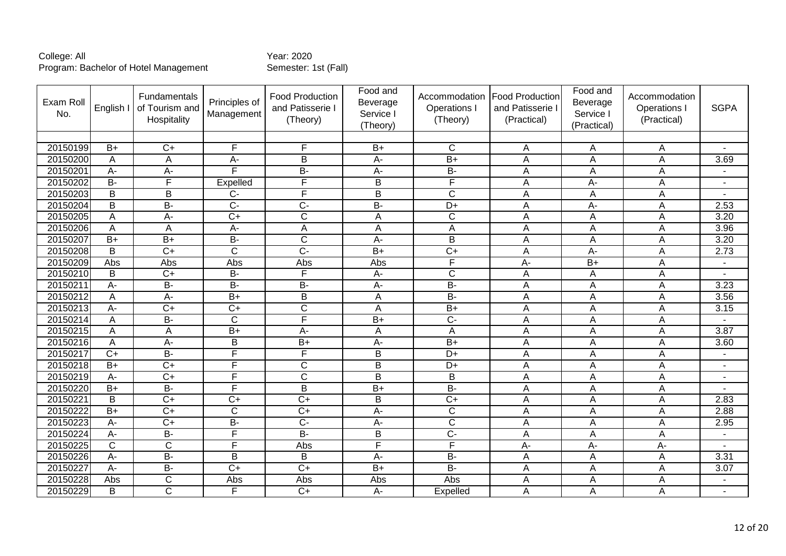| Exam Rol<br>No. | English I       | Fundamentals<br>of Tourism and<br>Hospitality | Principles of<br>Management | Food Production<br>and Patisserie I<br>(Theory) | Food and<br>Beverage<br>Service I<br>(Theory) | Accommodation<br><b>Operations I</b><br>(Theory) | <b>Food Production</b><br>and Patisserie I<br>(Practical) | Food and<br>Beverage<br>Service I<br>(Practical) | Accommodation<br>Operations<br>(Practical) | <b>SGPA</b>              |
|-----------------|-----------------|-----------------------------------------------|-----------------------------|-------------------------------------------------|-----------------------------------------------|--------------------------------------------------|-----------------------------------------------------------|--------------------------------------------------|--------------------------------------------|--------------------------|
|                 |                 |                                               |                             |                                                 |                                               |                                                  |                                                           |                                                  |                                            |                          |
| 20150199        | $B+$            | $C+$                                          | F                           | F                                               | $B+$                                          | C                                                | A                                                         | Α                                                | A                                          | $\overline{\phantom{a}}$ |
| 20150200        | A               | A                                             | $A -$                       | $\overline{\mathsf{B}}$                         | $A -$                                         | $\overline{B+}$                                  | A                                                         | A                                                | A                                          | 3.69                     |
| 20150201        | A-              | $\overline{A}$ -                              | F                           | $\overline{B}$                                  | $A -$                                         | $B -$                                            | A                                                         | A                                                | A                                          |                          |
| 20150202        | <b>B-</b>       | F                                             | Expelled                    | F                                               | B                                             | F                                                | Α                                                         | A-                                               | A                                          |                          |
| 20150203        | $\overline{B}$  | $\overline{B}$                                | $\overline{C}$              | F                                               | $\overline{B}$                                | $\overline{\mathsf{C}}$                          | Α                                                         | A                                                | A                                          |                          |
| 20150204        | B               | $\overline{B}$                                | $\overline{C}$              | $\overline{C}$                                  | $B -$                                         | D+                                               | Α                                                         | А-                                               | Α                                          | 2.53                     |
| 20150205        | A               | $\overline{A}$                                | $\overline{C+}$             | $\overline{\text{c}}$                           | $\overline{A}$                                | $\overline{\text{c}}$                            | A                                                         | $\mathsf{A}$                                     | $\overline{A}$                             | 3.20                     |
| 20150206        | A               | A                                             | $\overline{A}$              | A                                               | A                                             | A                                                | A                                                         | A                                                | A                                          | 3.96                     |
| 20150207        | $B+$            | $\overline{B+}$                               | $\overline{B}$              | $\overline{\text{c}}$                           | A-                                            | B                                                | A                                                         | A                                                | A                                          | 3.20                     |
| 20150208        | B               | $\overline{C+}$                               | C                           | $\overline{C}$ -                                | $\overline{B+}$                               | $\overline{C+}$                                  | A                                                         | А-                                               | A                                          | 2.73                     |
| 20150209        | Abs             | Abs                                           | Abs                         | Abs                                             | Abs                                           | F                                                | $\overline{A}$                                            | $\overline{B+}$                                  | A                                          |                          |
| 20150210        | B               | $C+$                                          | <b>B-</b>                   | E                                               | A-                                            | $\mathsf{C}$                                     | A                                                         | A                                                | A                                          |                          |
| 20150211        | A-              | $\overline{B}$                                | $\overline{B}$              | $\overline{B}$                                  | $A -$                                         | $\overline{B}$                                   | Α                                                         | A                                                | A                                          | 3.23                     |
| 20150212        | A               | A-                                            | $\overline{B+}$             | B                                               | A                                             | $B -$                                            | A                                                         | Α                                                | $\overline{A}$                             | 3.56                     |
| 20150213        | A-              | $C+$                                          | $C+$                        | $\overline{\text{c}}$                           | A                                             | $\overline{B+}$                                  | A                                                         | A                                                | A                                          | 3.15                     |
| 20150214        | A               | $\overline{B}$                                | $\mathsf{C}$                | F                                               | $\overline{B+}$                               | $\overline{C}$                                   | A                                                         | A                                                | A                                          |                          |
| 20150215        | A               | A                                             | $\overline{B+}$             | A-                                              | A                                             | A                                                | A                                                         | A                                                | A                                          | 3.87                     |
| 20150216        | A               | A-                                            | B                           | $B+$                                            | A-                                            | $B+$                                             | A                                                         | A                                                | A                                          | 3.60                     |
| 20150217        | $C+$            | $\overline{B}$                                | F                           | F                                               | $\overline{B}$                                | $D+$                                             | A                                                         | A                                                | A                                          |                          |
| 20150218        | $B+$            | $\overline{C}$                                | F                           | $\overline{\text{C}}$                           | $\overline{B}$                                | $\overline{D+}$                                  | A                                                         | A                                                | A                                          |                          |
| 20150219        | A-              | $\overline{C+}$                               | F                           | $\overline{\text{c}}$                           | $\overline{B}$                                | B                                                | A                                                         | A                                                | A                                          |                          |
| 20150220        | $B+$            | $\overline{B}$                                | F                           | $\overline{\mathsf{B}}$                         | $\overline{B+}$                               | $\overline{B}$                                   | A                                                         | A                                                | A                                          |                          |
| 20150221        | B               | $\overline{C}$                                | $\overline{C+}$             | $\overline{C}$                                  | $\overline{B}$                                | $\overline{C}$                                   | Α                                                         | A                                                | A                                          | 2.83                     |
| 20150222        | $\overline{B+}$ | $\overline{C+}$                               | C                           | $\overline{C+}$                                 | $\overline{A}$                                | $\overline{\text{c}}$                            | A                                                         | A                                                | A                                          | 2.88                     |
| 20150223        | A-              | $\overline{C+}$                               | $\overline{B}$              | $\overline{C}$                                  | A-                                            | $\overline{\text{c}}$                            | A                                                         | Α                                                | A                                          | 2.95                     |
| 20150224        | A-              | $B -$                                         | F                           | $B -$                                           | $\overline{B}$                                | $\overline{C}$                                   | A                                                         | A                                                | A                                          |                          |
| 20150225        | $\overline{C}$  | $\overline{C}$                                | F                           | Abs                                             | F                                             | F                                                | A-                                                        | A-                                               | $\overline{A}$                             |                          |
| 20150226        | A-              | $B -$                                         | B                           | B                                               | A-                                            | $B -$                                            | A                                                         | A                                                | A                                          | 3.31                     |
| 20150227        | A-              | $\overline{B}$                                | $\overline{C+}$             | $\overline{C+}$                                 | $\overline{B}$                                | $B -$                                            | A                                                         | A                                                | A                                          | 3.07                     |
| 20150228        | Abs             | $\mathsf C$                                   | Abs                         | Abs                                             | Abs                                           | Abs                                              | A                                                         | A                                                | A                                          |                          |
| 20150229        | B               | $\mathsf{C}$                                  | F                           | $C+$                                            | A-                                            | Expelled                                         | A                                                         | A                                                | A                                          | $\blacksquare$           |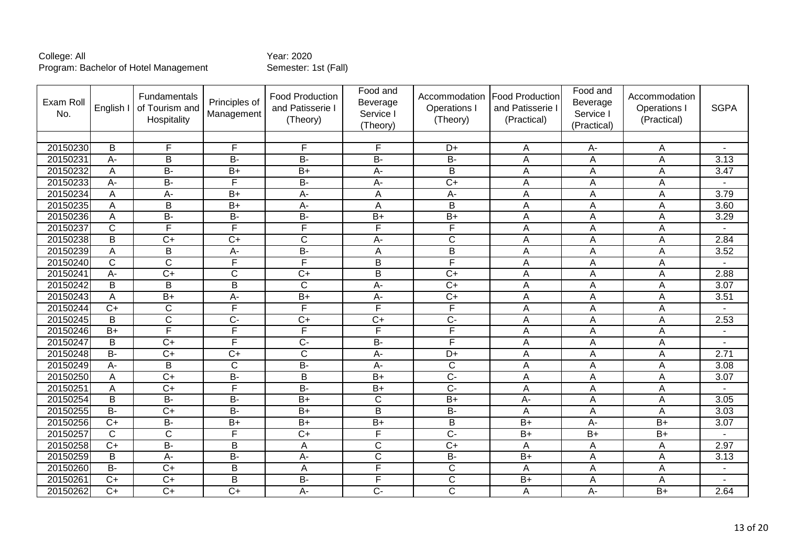| Exam Roll<br>No. | English I       | Fundamentals<br>of Tourism and<br>Hospitality | Principles of<br>Management | <b>Food Production</b><br>and Patisserie I<br>(Theory) | Food and<br>Beverage<br>Service I<br>(Theory) | Accommodation<br>Operations I<br>(Theory) | <b>Food Production</b><br>and Patisserie I<br>(Practical) | Food and<br>Beverage<br>Service I<br>(Practical) | Accommodation<br>Operations<br>(Practical) | <b>SGPA</b> |
|------------------|-----------------|-----------------------------------------------|-----------------------------|--------------------------------------------------------|-----------------------------------------------|-------------------------------------------|-----------------------------------------------------------|--------------------------------------------------|--------------------------------------------|-------------|
|                  |                 |                                               |                             |                                                        |                                               |                                           |                                                           |                                                  |                                            |             |
| 20150230         | B               | E                                             | $\overline{F}$              | F                                                      | E                                             | D+                                        | Α                                                         | А-                                               | Α                                          |             |
| 20150231         | A-              | $\overline{\mathsf{B}}$                       | В-                          | $B -$                                                  | $B -$                                         | $B -$                                     | A                                                         | A                                                | A                                          | 3.13        |
| 20150232         | A               | $\overline{B}$                                | $\overline{B+}$             | $\overline{B+}$                                        | $A -$                                         | B                                         | A                                                         | A                                                | A                                          | 3.47        |
| 20150233         | A-              | B-                                            | F                           | <b>B-</b>                                              | A-                                            | $\overline{C+}$                           | A                                                         | A                                                | A                                          |             |
| 20150234         | Α               | A-                                            | $B+$                        | A-                                                     | A                                             | $A -$                                     | Α                                                         | A                                                | A                                          | 3.79        |
| 20150235         | A               | B                                             | $B+$                        | A-                                                     | A                                             | B                                         | A                                                         | A                                                | A                                          | 3.60        |
| 20150236         | A               | <b>B-</b>                                     | B-                          | <b>B-</b>                                              | $B+$                                          | $B+$                                      | A                                                         | $\overline{A}$                                   | A                                          | 3.29        |
| 20150237         | $\overline{C}$  | F                                             | F                           | F                                                      | F                                             | F                                         | A                                                         | A                                                | A                                          |             |
| 20150238         | B               | $C+$                                          | $C+$                        | $\mathsf C$                                            | A-                                            | $\mathsf{C}$                              | A                                                         | A                                                | A                                          | 2.84        |
| 20150239         | A               | B                                             | $A-$                        | $\overline{B}$                                         | A                                             | $\overline{B}$                            | A                                                         | A                                                | A                                          | 3.52        |
| 20150240         | C               | $\overline{C}$                                | F                           | F                                                      | $\overline{B}$                                | F                                         | Α                                                         | Α                                                | A                                          |             |
| 20150241         | A-              | $\overline{C+}$                               | $\overline{C}$              | $\overline{C}$                                         | $\overline{B}$                                | $\overline{C+}$                           | A                                                         | Α                                                | A                                          | 2.88        |
| 20150242         | B               | B                                             | B                           | $\overline{C}$                                         | $A -$                                         | $\overline{C+}$                           | A                                                         | A                                                | A                                          | 3.07        |
| 20150243         | A               | $\overline{B+}$                               | $\overline{A}$              | $\overline{B+}$                                        | $\overline{A}$                                | $\overline{C}$                            | A                                                         | A                                                | A                                          | 3.51        |
| 20150244         | $C+$            | $\mathsf{C}$                                  | F                           | F                                                      | $\overline{F}$                                | F                                         | A                                                         | A                                                | A                                          |             |
| 20150245         | B               | $\mathsf{C}$                                  | $C -$                       | $C+$                                                   | $C+$                                          | $C -$                                     | A                                                         | Α                                                | A                                          | 2.53        |
| 20150246         | $\overline{B+}$ | F                                             | F                           | F                                                      | F                                             | F                                         | A                                                         | $\overline{A}$                                   | A                                          |             |
| 20150247         | B               | $C+$                                          | F                           | $\overline{C}$                                         | B-                                            | F                                         | Α                                                         | Α                                                | A                                          |             |
| 20150248         | $\overline{B}$  | $\overline{C+}$                               | $\overline{C+}$             | $\overline{\mathsf{C}}$                                | $A -$                                         | $D+$                                      | A                                                         | A                                                | A                                          | 2.71        |
| 20150249         | A-              | $\overline{\mathsf{B}}$                       | $\overline{C}$              | $B -$                                                  | $\overline{A}$                                | $\overline{C}$                            | Α                                                         | $\overline{A}$                                   | A                                          | 3.08        |
| 20150250         | A               | $\overline{C+}$                               | $B -$                       | $\overline{B}$                                         | $B+$                                          | $\overline{C}$                            | A                                                         | $\overline{A}$                                   | A                                          | 3.07        |
| 20150251         | A               | $\overline{C}$                                | F                           | $\overline{B}$                                         | $\overline{B+}$                               | $\overline{C}$                            | A                                                         | $\overline{A}$                                   | A                                          |             |
| 20150254         | $\overline{B}$  | $\overline{B}$                                | $\overline{B}$              | $\overline{B+}$                                        | $\overline{\text{c}}$                         | $B+$                                      | $\overline{A}$                                            | A                                                | $\overline{A}$                             | 3.05        |
| 20150255         | $\overline{B}$  | $\overline{C}$                                | $\overline{B}$              | $\overline{B+}$                                        | B                                             | $B -$                                     | A                                                         | $\overline{A}$                                   | $\overline{A}$                             | 3.03        |
| 20150256         | $C+$            | <b>B-</b>                                     | $B+$                        | $B+$                                                   | $B+$                                          | B                                         | $B+$                                                      | A-                                               | $B+$                                       | 3.07        |
| 20150257         | $\overline{C}$  | $\overline{\text{c}}$                         | F                           | $\overline{C+}$                                        | F                                             | $\overline{C}$                            | $\overline{B+}$                                           | $\overline{B+}$                                  | $B+$                                       |             |
| 20150258         | $C+$            | $\overline{B}$                                | B                           | Α                                                      | $\mathsf{C}$                                  | $C+$                                      | A                                                         | Α                                                | A                                          | 2.97        |
| 20150259         | B               | $\overline{A}$                                | <b>B-</b>                   | $\overline{A}$ -                                       | $\overline{C}$                                | $\overline{B}$                            | $B+$                                                      | A                                                | A                                          | 3.13        |
| 20150260         | $\overline{B}$  | $\overline{C}$                                | B                           | A                                                      | F                                             | C                                         | A                                                         | A                                                | A                                          |             |
| 2015026          | $C+$            | $\overline{C}$                                | B                           | $\overline{B}$                                         | F                                             | $\overline{C}$                            | $\overline{B+}$                                           | $\overline{A}$                                   | A                                          |             |
| 20150262         | $\overline{C}$  | $\overline{C+}$                               | $\overline{C+}$             | A-                                                     | $\overline{C}$                                | $\overline{C}$                            | A                                                         | $A -$                                            | $B+$                                       | 2.64        |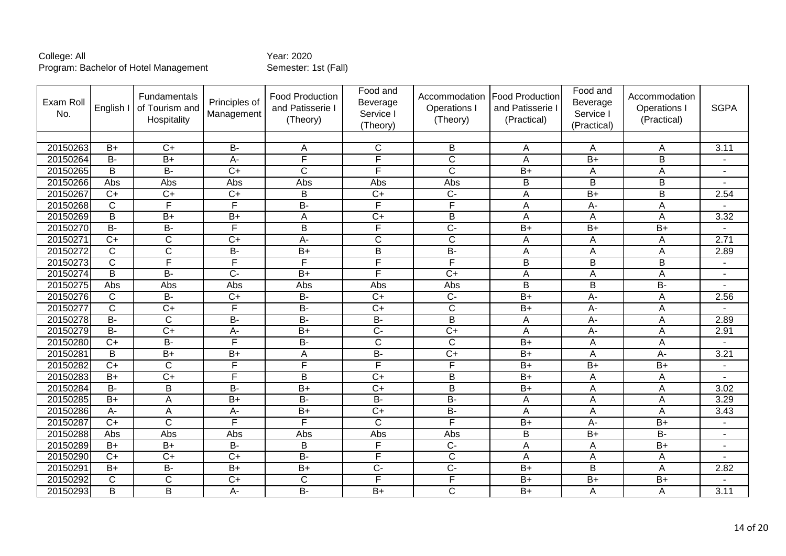| Exam Roll<br>No. | English I      | Fundamentals<br>of Tourism and<br>Hospitality | Principles of<br>Management | Food Production<br>and Patisserie I<br>(Theory) | Food and<br>Beverage<br>Service I<br>(Theory) | Accommodation<br>Operations I<br>(Theory) | <b>Food Production</b><br>and Patisserie I<br>(Practical) | Food and<br>Beverage<br>Service I<br>(Practical) | Accommodation<br>Operations I<br>(Practical) | <b>SGPA</b> |
|------------------|----------------|-----------------------------------------------|-----------------------------|-------------------------------------------------|-----------------------------------------------|-------------------------------------------|-----------------------------------------------------------|--------------------------------------------------|----------------------------------------------|-------------|
|                  |                |                                               |                             |                                                 |                                               |                                           |                                                           |                                                  |                                              |             |
| 20150263         | $B+$           | $C+$                                          | <b>B-</b>                   | A                                               | $\mathsf{C}$                                  | B                                         | A                                                         | A                                                | A                                            | 3.11        |
| 20150264         | $B -$          | $B+$                                          | $\overline{A}$ -            | F                                               | F                                             | $\overline{\text{c}}$                     | A                                                         | $B+$                                             | $\overline{\mathsf{B}}$                      |             |
| 20150265         | B              | $\overline{B}$                                | $C+$                        | C                                               | F                                             | $\mathsf C$                               | $B+$                                                      | A                                                | A                                            |             |
| 20150266         | Abs            | Abs                                           | Abs                         | Abs                                             | Abs                                           | Abs                                       | B                                                         | B                                                | B                                            |             |
| 20150267         | $\overline{C}$ | $\overline{C}$                                | $\overline{C+}$             | $\overline{B}$                                  | $\overline{C}$                                | $\overline{C}$                            | A                                                         | $\overline{B}$                                   | $\overline{\mathsf{B}}$                      | 2.54        |
| 20150268         | $\overline{C}$ | F                                             | $\overline{F}$              | $\overline{B}$                                  | $\overline{\mathsf{F}}$                       | F                                         | A                                                         | A-                                               | A                                            |             |
| 20150269         | B              | $\overline{B}$                                | $B+$                        | A                                               | $\overline{C+}$                               | B                                         | A                                                         | A                                                | A                                            | 3.32        |
| 20150270         | $B -$          | $\overline{B}$                                | F                           | $\overline{B}$                                  | F                                             | $\overline{C}$ -                          | $B+$                                                      | $\overline{B+}$                                  | $B+$                                         |             |
| 20150271         | $\overline{C}$ | $\mathsf{C}$                                  | $C+$                        | A-                                              | $\mathsf{C}$                                  | $\mathsf{C}$                              | A                                                         | A                                                | A                                            | 2.71        |
| 20150272         | $\overline{C}$ | $\overline{C}$                                | $B -$                       | $\overline{B+}$                                 | $\overline{B}$                                | $B -$                                     | A                                                         | A                                                | A                                            | 2.89        |
| 20150273         | $\overline{C}$ | F                                             | F                           | F                                               | F                                             | F                                         | $\overline{B}$                                            | $\overline{B}$                                   | $\overline{B}$                               |             |
| 20150274         | B              | <b>B-</b>                                     | $\overline{C}$              | $B+$                                            | F                                             | $\overline{C+}$                           | A                                                         | A                                                | A                                            |             |
| 20150275         | Abs            | Abs                                           | Abs                         | Abs                                             | Abs                                           | Abs                                       | B                                                         | B                                                | $\overline{B}$                               |             |
| 20150276         | $\mathsf{C}$   | $B -$                                         | $\overline{C+}$             | $\overline{B}$                                  | $\overline{C}$                                | $\overline{C}$                            | $\overline{B+}$                                           | $A -$                                            | A                                            | 2.56        |
| 20150277         | $\mathsf{C}$   | $C+$                                          | F                           | <b>B-</b>                                       | $C+$                                          | $\mathsf{C}$                              | $B+$                                                      | A-                                               | A                                            |             |
| 20150278         | $\overline{B}$ | $\overline{C}$                                | B-                          | $\overline{B}$                                  | $B -$                                         | $\overline{B}$                            | A                                                         | $\overline{A}$ -                                 | A                                            | 2.89        |
| 20150279         | $\overline{B}$ | $\overline{C+}$                               | $A-$                        | $\overline{B+}$                                 | $\overline{C}$                                | $\overline{C+}$                           | A                                                         | $A -$                                            | A                                            | 2.91        |
| 20150280         | $C+$           | $\overline{B}$                                | E                           | $\overline{B}$                                  | $\overline{C}$                                | $\overline{C}$                            | $\overline{B+}$                                           | A                                                | A                                            |             |
| 20150281         | B              | $\overline{B}$                                | $B+$                        | A                                               | B-                                            | $\overline{C}$                            | $B+$                                                      | A                                                | $\overline{A}$ -                             | 3.21        |
| 20150282         | $\overline{C}$ | $\overline{\text{c}}$                         | F                           | F                                               | F                                             | F                                         | $\overline{B+}$                                           | $\overline{B+}$                                  | $\overline{B+}$                              |             |
| 20150283         | $B+$           | $\overline{C}$                                | $\overline{F}$              | B                                               | $C+$                                          | B                                         | $B+$                                                      | $\overline{A}$                                   | A                                            |             |
| 20150284         | $\overline{B}$ | B                                             | B-                          | $\overline{B+}$                                 | $\overline{C}$                                | $\overline{B}$                            | $B+$                                                      | A                                                | A                                            | 3.02        |
| 20150285         | $\overline{B}$ | A                                             | $\overline{B}$              | $\overline{B}$                                  | $B -$                                         | B-                                        | Α                                                         | A                                                | A                                            | 3.29        |
| 20150286         | A-             | A                                             | $A-$                        | $\overline{B+}$                                 | $\overline{C+}$                               | $B -$                                     | A                                                         | A                                                | A                                            | 3.43        |
| 20150287         | $C+$           | $\overline{C}$                                | $\overline{F}$              | F                                               | $\overline{C}$                                | F                                         | $B+$                                                      | А-                                               | $B+$                                         |             |
| 20150288         | Abs            | Abs                                           | Abs                         | Abs                                             | Abs                                           | Abs                                       | B                                                         | $\overline{B+}$                                  | $B -$                                        |             |
| 20150289         | $B+$           | $B+$                                          | <b>B-</b>                   | B                                               | $\overline{F}$                                | $\overline{C}$                            | A                                                         | A                                                | $\overline{B+}$                              |             |
| 20150290         | $C+$           | $\overline{C}$                                | $C+$                        | <b>B-</b>                                       | $\overline{\mathsf{F}}$                       | $\overline{C}$                            | A                                                         | Α                                                | Α                                            |             |
| 20150291         | $\overline{B}$ | $B -$                                         | $\overline{B}$              | $\overline{B}$                                  | $\overline{C}$ -                              | $\overline{C}$ -                          | $B+$                                                      | $\overline{\mathsf{B}}$                          | $\overline{A}$                               | 2.82        |
| 20150292         | $\mathsf{C}$   | $\overline{C}$                                | $\overline{C+}$             | $\overline{C}$                                  | F                                             | F                                         | $B+$                                                      | $\overline{B+}$                                  | $B+$                                         |             |
| 20150293         | B              | B                                             | $A-$                        | $\overline{B}$                                  | $\overline{B+}$                               | $\mathsf{C}$                              | $B+$                                                      | A                                                | A                                            | 3.11        |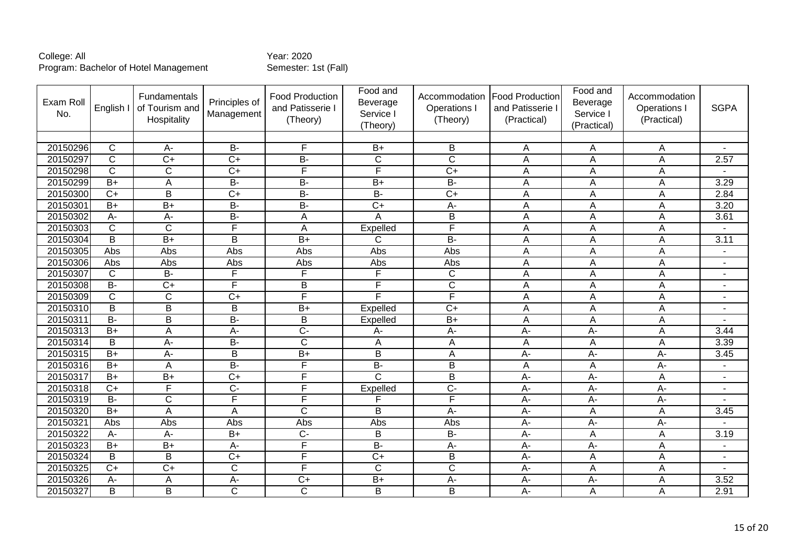| Exam Roll<br>No. | English I               | Fundamentals<br>of Tourism and<br>Hospitality | Principles of<br>Management | Food Production<br>and Patisserie I<br>(Theory) | Food and<br>Beverage<br>Service I<br>(Theory) | Accommodation<br>Operations I<br>(Theory) | <b>Food Production</b><br>and Patisserie I<br>(Practical) | Food and<br>Beverage<br>Service I<br>(Practical) | Accommodation<br>Operations I<br>(Practical) | <b>SGPA</b>              |
|------------------|-------------------------|-----------------------------------------------|-----------------------------|-------------------------------------------------|-----------------------------------------------|-------------------------------------------|-----------------------------------------------------------|--------------------------------------------------|----------------------------------------------|--------------------------|
|                  |                         |                                               |                             |                                                 |                                               |                                           |                                                           |                                                  |                                              |                          |
| 20150296         | $\mathsf{C}$            | $A -$                                         | $B -$                       | F                                               | $B+$                                          | B                                         | Α                                                         | Α                                                | A                                            |                          |
| 20150297         | $\overline{C}$          | $\overline{C+}$                               | $\overline{C}$              | $B -$                                           | $\overline{\text{c}}$                         | $\overline{\text{c}}$                     | A                                                         | A                                                | A                                            | 2.57                     |
| 20150298         | $\overline{C}$          | $\overline{C}$                                | $\overline{C+}$             | F                                               | $\overline{\mathsf{F}}$                       | $\overline{C}$                            | Α                                                         | A                                                | A                                            |                          |
| 20150299         | $B+$                    | A                                             | $B -$                       | $\overline{B}$                                  | $B+$                                          | $B -$                                     | A                                                         | A                                                | A                                            | 3.29                     |
| 20150300         | $\overline{C}$          | $\overline{B}$                                | $\overline{C+}$             | $B -$                                           | $B -$                                         | $\overline{C+}$                           | Α                                                         | A                                                | A                                            | 2.84                     |
| 20150301         | $B+$                    | $B+$                                          | <b>B-</b>                   | <b>B-</b>                                       | $C+$                                          | A-                                        | Α                                                         | A                                                | A                                            | 3.20                     |
| 20150302         | A-                      | A-                                            | $B -$                       | A                                               | A                                             | B                                         | A                                                         | A                                                | A                                            | 3.61                     |
| 20150303         | C                       | $\overline{C}$                                | F                           | A                                               | Expelled                                      | F                                         | A                                                         | A                                                | A                                            |                          |
| 20150304         | $\overline{\mathsf{B}}$ | $\overline{B+}$                               | B                           | $\overline{B+}$                                 | $\overline{C}$                                | $B -$                                     | A                                                         | A                                                | A                                            | 3.11                     |
| 20150305         | Abs                     | Abs                                           | Abs                         | Abs                                             | Abs                                           | Abs                                       | A                                                         | Α                                                | A                                            | $\overline{\phantom{a}}$ |
| 20150306         | Abs                     | Abs                                           | Abs                         | Abs                                             | Abs                                           | Abs                                       | Α                                                         | Α                                                | A                                            |                          |
| 20150307         | C                       | $B -$                                         | $\overline{\mathsf{F}}$     | F                                               | F                                             | $\mathsf{C}$                              | A                                                         | A                                                | A                                            |                          |
| 20150308         | <b>B-</b>               | $C+$                                          | $\overline{\mathsf{F}}$     | B                                               | F                                             | $\mathsf{C}$                              | Α                                                         | Α                                                | A                                            | $\blacksquare$           |
| 20150309         | $\overline{\text{c}}$   | $\overline{\text{c}}$                         | $\overline{C+}$             | F                                               | Ē                                             | F                                         | Α                                                         | $\overline{A}$                                   | A                                            | $\overline{a}$           |
| 20150310         | B                       | B                                             | B                           | $\overline{B+}$                                 | Expelled                                      | $\overline{C+}$                           | A                                                         | A                                                | A                                            | $\overline{\phantom{a}}$ |
| 20150311         | <b>B-</b>               | B                                             | <b>B-</b>                   | B                                               | Expelled                                      | $B+$                                      | A                                                         | A                                                | A                                            |                          |
| 20150313         | $\overline{B}$          | A                                             | A-                          | $\overline{C}$                                  | $A -$                                         | $\overline{A}$ -                          | $\overline{A}$                                            | $A -$                                            | A                                            | 3.44                     |
| 20150314         | $\overline{\mathsf{B}}$ | $\overline{A}$                                | $\overline{B}$              | $\overline{\text{c}}$                           | A                                             | A                                         | A                                                         | A                                                | A                                            | 3.39                     |
| 20150315         | $B+$                    | A-                                            | B                           | $B+$                                            | B                                             | $\overline{A}$                            | A-                                                        | A-                                               | $A -$                                        | 3.45                     |
| 20150316         | $\overline{B+}$         | A                                             | $B -$                       | F                                               | $B -$                                         | $\overline{B}$                            | A                                                         | A                                                | $\overline{A}$                               | ٠                        |
| 20150317         | $B+$                    | $B+$                                          | $C+$                        | F                                               | $\overline{C}$                                | B                                         | A-                                                        | A-                                               | Α                                            | $\blacksquare$           |
| 20150318         | $\overline{C}$          | F                                             | $\overline{C}$              | F                                               | Expelled                                      | $\overline{C}$                            | $A -$                                                     | $\overline{A}$                                   | $\overline{A}$                               | $\overline{a}$           |
| 20150319         | $\overline{B}$          | $\overline{\text{C}}$                         | E                           | E                                               | F                                             | F                                         | $\overline{A}$                                            | $A -$                                            | $\overline{A}$                               |                          |
| 20150320         | $B+$                    | A                                             | A                           | C                                               | B                                             | A-                                        | A-                                                        | Α                                                | Α                                            | 3.45                     |
| 20150321         | Abs                     | Abs                                           | Abs                         | Abs                                             | Abs                                           | Abs                                       | $A-$                                                      | A-                                               | $A -$                                        |                          |
| 20150322         | A-                      | $A -$                                         | $\overline{B+}$             | $\overline{C}$                                  | B                                             | $B -$                                     | A-                                                        | A                                                | A                                            | 3.19                     |
| 20150323         | $B+$                    | $\overline{B}$                                | A-                          | F                                               | $\overline{B}$                                | A-                                        | $A -$                                                     | A-                                               | A                                            |                          |
| 20150324         | B                       | B                                             | $\overline{C}$              | F                                               | $\overline{C+}$                               | B                                         | A-                                                        | A                                                | A                                            | $\blacksquare$           |
| 20150325         | $\overline{C}$          | $\overline{C}$ +                              | $\overline{C}$              | F                                               | $\overline{C}$                                | $\overline{\text{c}}$                     | A-                                                        | A                                                | A                                            | ٠                        |
| 20150326         | A-                      | A                                             | $\overline{A}$ -            | $\overline{C}$                                  | $\overline{B}$                                | A-                                        | $A -$                                                     | A-                                               | A                                            | 3.52                     |
| 20150327         | B                       | B                                             | $\mathsf{C}$                | $\mathsf{C}$                                    | B                                             | B                                         | $A -$                                                     | A                                                | A                                            | 2.91                     |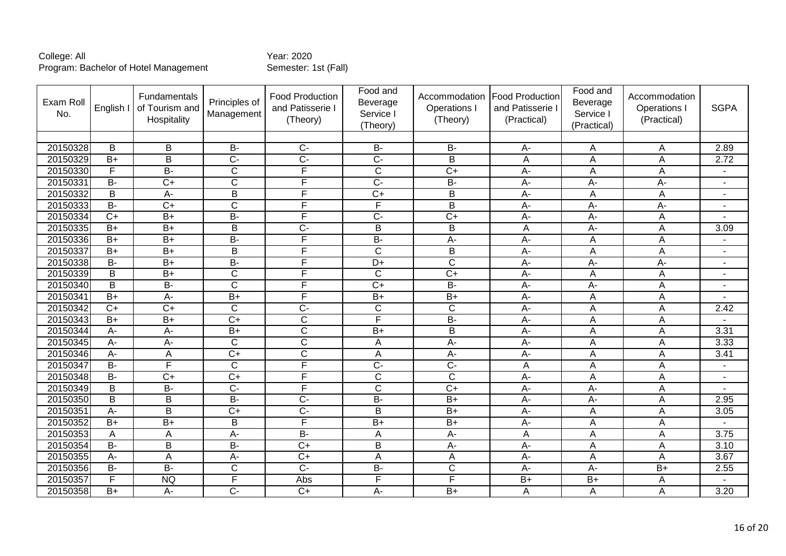| Exam Roll<br>No. | English I       | Fundamentals<br>of Tourism and<br>Hospitality | Principles of<br>Management | <b>Food Production</b><br>and Patisserie I<br>(Theory) | Food and<br>Beverage<br>Service I<br>(Theory) | Accommodation<br>Operations I<br>(Theory) | <b>Food Production</b><br>and Patisserie I<br>(Practical) | Food and<br>Beverage<br>Service I<br>(Practical) | Accommodation<br>Operations<br>(Practical) | <b>SGPA</b>              |
|------------------|-----------------|-----------------------------------------------|-----------------------------|--------------------------------------------------------|-----------------------------------------------|-------------------------------------------|-----------------------------------------------------------|--------------------------------------------------|--------------------------------------------|--------------------------|
|                  |                 |                                               |                             |                                                        |                                               |                                           |                                                           |                                                  |                                            |                          |
| 20150328         | B               | B                                             | <b>B-</b>                   | $C -$                                                  | <b>B-</b>                                     | <b>B-</b>                                 | A-                                                        | Α                                                | Α                                          | 2.89                     |
| 20150329         | $B+$            | $\overline{\mathsf{B}}$                       | $\overline{C}$              | $\overline{C}$ -                                       | $\overline{C}$                                | $\overline{B}$                            | A                                                         | $\overline{A}$                                   | A                                          | 2.72                     |
| 20150330         | F               | $\overline{B}$                                | $\mathsf C$                 | F                                                      | $\overline{C}$                                | $\overline{C+}$                           | A-                                                        | A                                                | A                                          |                          |
| 20150331         | $B -$           | $\overline{C}$                                | $\mathsf{C}$                | F                                                      | $\overline{C}$                                | B-                                        | A-                                                        | A-                                               | A-                                         | $\blacksquare$           |
| 20150332         | B               | $\overline{A}$                                | $\overline{B}$              | F                                                      | $\overline{C}$                                | $\overline{B}$                            | A-                                                        | A                                                | $\overline{A}$                             | $\sim$                   |
| 20150333         | $\overline{B}$  | $\overline{C}$                                | $\mathsf{C}$                | F                                                      | $\overline{\mathsf{F}}$                       | $\overline{B}$                            | A-                                                        | A-                                               | $A -$                                      | $\overline{\phantom{a}}$ |
| 20150334         | $\overline{C}$  | $\overline{B+}$                               | B-                          | F                                                      | $\overline{C}$                                | $\overline{C+}$                           | A-                                                        | A-                                               | A                                          |                          |
| 20150335         | $\overline{B}$  | $B+$                                          | B                           | $\overline{C}$ -                                       | $\overline{B}$                                | $\overline{B}$                            | A                                                         | A-                                               | A                                          | 3.09                     |
| 20150336         | $B+$            | $\overline{B}$                                | $B -$                       | F                                                      | $B -$                                         | $\overline{A}$ -                          | A-                                                        | A                                                | A                                          |                          |
| 20150337         | $B+$            | $B+$                                          | B                           | F                                                      | $\mathsf{C}$                                  | B                                         | A-                                                        | A                                                | A                                          |                          |
| 20150338         | $B -$           | $B+$                                          | $B -$                       | F                                                      | $\overline{D+}$                               | $\overline{\text{c}}$                     | $\overline{A}$                                            | $\overline{A}$ -                                 | $\overline{A}$ -                           |                          |
| 20150339         | B               | $B+$                                          | $\mathsf C$                 | F                                                      | $\mathsf{C}$                                  | $\overline{C+}$                           | A-                                                        | Α                                                | Α                                          | $\blacksquare$           |
| 20150340         | $\overline{B}$  | $\overline{B}$                                | $\overline{\text{c}}$       | F                                                      | $\overline{C+}$                               | $\overline{B}$                            | $\overline{A}$                                            | $\overline{A}$ -                                 | A                                          | ÷.                       |
| 20150341         | $\overline{B+}$ | $A -$                                         | $B+$                        | F                                                      | $\overline{B}$                                | $\overline{B+}$                           | $\overline{A}$                                            | A                                                | A                                          |                          |
| 20150342         | $\overline{C}$  | $\overline{C+}$                               | $\overline{C}$              | $\overline{C}$ -                                       | $\overline{C}$                                | $\overline{C}$                            | A-                                                        | A                                                | A                                          | 2.42                     |
| 20150343         | $B+$            | $\overline{B+}$                               | $\overline{C+}$             | $\overline{\text{C}}$                                  | F                                             | $B -$                                     | A-                                                        | A                                                | A                                          |                          |
| 20150344         | A-              | $\overline{A}$                                | $B+$                        | $\overline{C}$                                         | $\overline{B}$                                | $\overline{B}$                            | $\overline{A}$                                            | A                                                | A                                          | 3.31                     |
| 20150345         | $A -$           | $A -$                                         | $\mathsf{C}$                | $\overline{C}$                                         | A                                             | A-                                        | A-                                                        | A                                                | A                                          | 3.33                     |
| 20150346         | A-              | A                                             | $C+$                        | $\overline{C}$                                         | A                                             | A-                                        | A-                                                        | A                                                | A                                          | 3.41                     |
| 20150347         | $B -$           | F                                             | $\overline{\text{c}}$       | F                                                      | $\overline{C}$ -                              | $\overline{C}$                            | A                                                         | A                                                | A                                          |                          |
| 20150348         | <b>B-</b>       | $C+$                                          | $C+$                        | F.                                                     | $\mathsf{C}$                                  | $\mathsf{C}$                              | A-                                                        | A                                                | A                                          |                          |
| 20150349         | $\overline{B}$  | $B -$                                         | $\overline{C}$              | F                                                      | $\overline{C}$                                | $\overline{C+}$                           | A-                                                        | A-                                               | A                                          |                          |
| 20150350         | $\overline{B}$  | B                                             | $B -$                       | $\overline{C}$ -                                       | $\overline{B}$                                | $\overline{B+}$                           | A-                                                        | $A -$                                            | A                                          | 2.95                     |
| 20150351         | A-              | B                                             | $\overline{C+}$             | $\overline{C}$                                         | $\overline{B}$                                | $\overline{B+}$                           | A-                                                        | $\overline{A}$                                   | A                                          | 3.05                     |
| 20150352         | $B+$            | $B+$                                          | B                           | F                                                      | $B+$                                          | $B+$                                      | A-                                                        | Α                                                | A                                          |                          |
| 20150353         | A               | A                                             | $A-$                        | $\overline{B}$                                         | A                                             | $A -$                                     | A                                                         | A                                                | A                                          | 3.75                     |
| 20150354         | <b>B-</b>       | B                                             | <b>B-</b>                   | $\overline{C}$                                         | B                                             | A-                                        | A-                                                        | A                                                | A                                          | 3.10                     |
| 20150355         | A-              | A                                             | $A -$                       | $\overline{C}$                                         | $\overline{A}$                                | A                                         | A-                                                        | $\overline{A}$                                   | A                                          | 3.67                     |
| 20150356         | $\overline{B}$  | $B -$                                         | $\overline{C}$              | $\overline{C}$                                         | $\overline{B}$                                | $\overline{C}$                            | $\overline{A}$                                            | $\overline{A}$ -                                 | $\overline{B+}$                            | 2.55                     |
| 20150357         | F               | <b>NQ</b>                                     | $\overline{\mathsf{F}}$     | Abs                                                    | $\overline{\mathsf{F}}$                       | F                                         | $B+$                                                      | $B+$                                             | A                                          |                          |
| 20150358         | $B+$            | $A -$                                         | $\overline{C}$              | $\overline{C}$                                         | $A -$                                         | $B+$                                      | A                                                         | A                                                | A                                          | 3.20                     |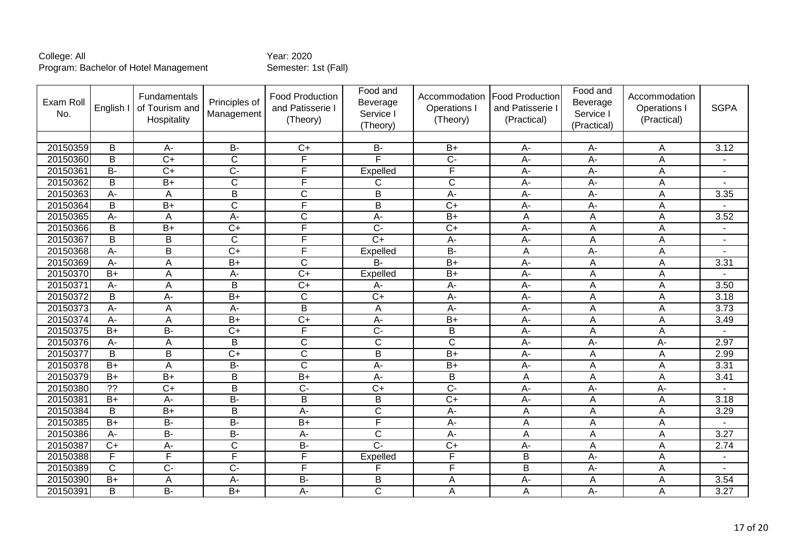| Exam Roll<br>No. | English I       | Fundamentals<br>of Tourism and<br>Hospitality | Principles of<br>Management | <b>Food Production</b><br>and Patisserie I<br>(Theory) | Food and<br>Beverage<br>Service I<br>(Theory) | Accommodation<br>Operations I<br>(Theory) | <b>Food Production</b><br>and Patisserie I<br>(Practical) | Food and<br>Beverage<br>Service I<br>(Practical) | Accommodation<br><b>Operations</b><br>(Practical) | <b>SGPA</b>    |
|------------------|-----------------|-----------------------------------------------|-----------------------------|--------------------------------------------------------|-----------------------------------------------|-------------------------------------------|-----------------------------------------------------------|--------------------------------------------------|---------------------------------------------------|----------------|
|                  |                 |                                               |                             |                                                        |                                               |                                           |                                                           |                                                  |                                                   |                |
| 20150359         | B               | A-                                            | $B -$                       | $\overline{C}$                                         | $B -$                                         | $B+$                                      | A-                                                        | A-                                               | A                                                 | 3.12           |
| 20150360         | $\overline{B}$  | $\overline{C+}$                               | $\overline{C}$              | F                                                      | Е                                             | $\overline{C}$                            | $\overline{A}$ -                                          | $\overline{A}$ -                                 | A                                                 |                |
| 20150361         | $\overline{B}$  | $\overline{C}$                                | $\overline{C}$ -            | F                                                      | Expelled                                      | $\overline{\mathsf{F}}$                   | A-                                                        | $\overline{A}$ -                                 | $\overline{A}$                                    | $\sim$         |
| 20150362         | B               | $\overline{B+}$                               | $\overline{\text{c}}$       | F                                                      | C                                             | $\overline{\text{c}}$                     | $A -$                                                     | A-                                               | $\overline{A}$                                    |                |
| 20150363         | A-              | Α                                             | $\overline{B}$              | $\overline{\text{c}}$                                  | $\overline{B}$                                | $\overline{A}$ -                          | $A -$                                                     | A-                                               | A                                                 | 3.35           |
| 20150364         | B               | $B+$                                          | C                           | $\overline{\mathsf{F}}$                                | B                                             | $C+$                                      | A-                                                        | A-                                               | A                                                 |                |
| 20150365         | $A -$           | A                                             | A-                          | C                                                      | A-                                            | $\overline{B+}$                           | A                                                         | A                                                | $\overline{A}$                                    | 3.52           |
| 20150366         | B               | $\overline{B}$                                | $\overline{C}$              | F                                                      | $\overline{C}$                                | $\overline{C}$                            | $\overline{A}$ -                                          | A                                                | A                                                 |                |
| 20150367         | $\overline{B}$  | B                                             | $\overline{\text{c}}$       | F                                                      | $\overline{C+}$                               | $\overline{A}$                            | A-                                                        | A                                                | A                                                 |                |
| 20150368         | $A -$           | B                                             | $\overline{C}$              | F                                                      | Expelled                                      | $\overline{B}$                            | A                                                         | $A-$                                             | A                                                 |                |
| 20150369         | A-              | Α                                             | $\overline{B}$              | $\overline{\text{c}}$                                  | B                                             | $\overline{B+}$                           | A-                                                        | A                                                | A                                                 | 3.31           |
| 20150370         | $B+$            | Α                                             | $A -$                       | $\overline{C+}$                                        | Expelled                                      | $\overline{B+}$                           | $A -$                                                     | A                                                | A                                                 |                |
| 20150371         | $A -$           | A                                             | B                           | $C+$                                                   | A-                                            | A-                                        | A-                                                        | Α                                                | Α                                                 | 3.50           |
| 20150372         | $\overline{B}$  | $\overline{A}$                                | $\overline{B+}$             | $\overline{\text{c}}$                                  | $\overline{C}$                                | $A -$                                     | $\overline{A}$ -                                          | A                                                | $\overline{A}$                                    | 3.18           |
| 20150373         | $A -$           | A                                             | A-                          | $\overline{B}$                                         | A                                             | A-                                        | A-                                                        | A                                                | A                                                 | 3.73           |
| 20150374         | A-              | A                                             | $B+$                        | $\overline{C}$                                         | $A -$                                         | $B+$                                      | A-                                                        | A                                                | A                                                 | 3.49           |
| 20150375         | $\overline{B}$  | $\overline{B}$                                | $\overline{C+}$             | F                                                      | $\overline{C}$                                | B                                         | $\overline{A}$ -                                          | A                                                | A                                                 | ÷,             |
| 20150376         | $A -$           | A                                             | B                           | $\overline{\text{c}}$                                  | $\overline{C}$                                | $\overline{\text{c}}$                     | $\overline{A}$ -                                          | $A -$                                            | $\overline{A}$ -                                  | 2.97           |
| 20150377         | B               | B                                             | $C+$                        | $\overline{\text{c}}$                                  | B                                             | $B+$                                      | A-                                                        | A                                                | $\overline{A}$                                    | 2.99           |
| 20150378         | $\overline{B}$  | Α                                             | $B -$                       | $\overline{\text{c}}$                                  | $\overline{A}$                                | $\overline{B+}$                           | $\overline{A}$ -                                          | A                                                | A                                                 | 3.31           |
| 20150379         | $B+$            | $B+$                                          | B                           | $B+$                                                   | $A -$                                         | B                                         | A                                                         | A                                                | A                                                 | 3.41           |
| 20150380         | $\overline{?}$  | $\overline{C}$                                | $\overline{B}$              | $\overline{C}$ -                                       | $\overline{C}$                                | $\overline{C}$                            | $\overline{A}$                                            | $\overline{A}$ -                                 | $\overline{A}$                                    |                |
| 20150381         | $\overline{B}$  | $A -$                                         | B-                          | $\overline{B}$                                         | $\overline{B}$                                | $\overline{C}$                            | $\overline{A}$ -                                          | A                                                | $\overline{A}$                                    | 3.18           |
| 20150384         | B               | $\overline{B+}$                               | B                           | A-                                                     | $\overline{C}$                                | A-                                        | A                                                         | A                                                | A                                                 | 3.29           |
| 20150385         | $B+$            | $\overline{B}$                                | $\overline{B}$              | $\overline{B}$                                         | F                                             | $A-$                                      | A                                                         | A                                                | $\overline{A}$                                    |                |
| 20150386         | $A -$           | $B -$                                         | $\overline{B}$              | A-                                                     | $\overline{C}$                                | A-                                        | A                                                         | Α                                                | A                                                 | 3.27           |
| 20150387         | $\overline{C}$  | A-                                            | $\overline{C}$              | $\overline{B}$                                         | $\overline{C}$                                | $\overline{C}$                            | $A -$                                                     | A                                                | A                                                 | 2.74           |
| 20150388         | F               | $\overline{F}$                                | F                           | F                                                      | Expelled                                      | $\overline{\mathsf{F}}$                   | B                                                         | A-                                               | A                                                 | $\blacksquare$ |
| 20150389         | C               | $\overline{C}$ -                              | $\overline{C}$              | Ē                                                      | ⊏                                             | F                                         | $\overline{B}$                                            | A-                                               | A                                                 | $\overline{a}$ |
| 20150390         | $\overline{B+}$ | A                                             | A-                          | $\overline{B}$                                         | B                                             | A                                         | $\overline{A}$                                            | A                                                | A                                                 | 3.54           |
| 20150391         | B               | $\overline{B}$                                | $B+$                        | A-                                                     | C                                             | A                                         | A                                                         | A-                                               | A                                                 | 3.27           |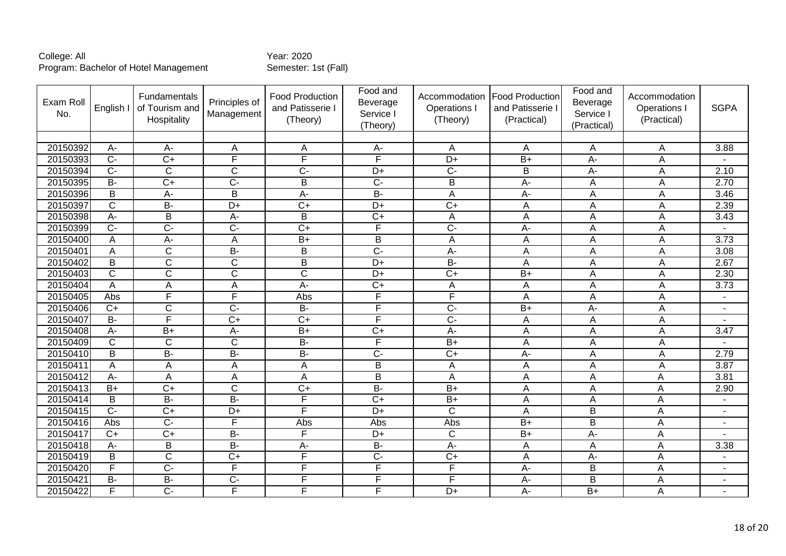| Exam Roll<br>No. | English I        | Fundamentals<br>of Tourism and<br>Hospitality | Principles of<br>Management | <b>Food Production</b><br>and Patisserie I<br>(Theory) | Food and<br>Beverage<br>Service I<br>(Theory) | Accommodation<br>Operations I<br>(Theory) | <b>Food Production</b><br>and Patisserie I<br>(Practical) | Food and<br>Beverage<br>Service I<br>(Practical) | Accommodation<br><b>Operations</b><br>(Practical) | <b>SGPA</b>              |
|------------------|------------------|-----------------------------------------------|-----------------------------|--------------------------------------------------------|-----------------------------------------------|-------------------------------------------|-----------------------------------------------------------|--------------------------------------------------|---------------------------------------------------|--------------------------|
|                  |                  |                                               |                             |                                                        |                                               |                                           |                                                           |                                                  |                                                   |                          |
| 20150392         | A-               | $A -$                                         | A                           | Α                                                      | $A -$                                         | A                                         | A                                                         | A                                                | A                                                 | 3.88                     |
| 20150393         | $\overline{C}$   | $\overline{C}$                                | F                           | F                                                      | F                                             | $\overline{D+}$                           | $\overline{B+}$                                           | A-                                               | A                                                 |                          |
| 20150394         | $\overline{C}$   | $\overline{C}$                                | $\mathsf C$                 | $\overline{C}$                                         | $D+$                                          | $\overline{C}$                            | B                                                         | A-                                               | A                                                 | 2.10                     |
| 20150395         | <b>B-</b>        | $C+$                                          | $C -$                       | B                                                      | $\overline{C}$                                | B                                         | $A -$                                                     | A                                                | A                                                 | 2.70                     |
| 20150396         | $\overline{B}$   | $A -$                                         | $\overline{B}$              | $A -$                                                  | $\overline{B}$                                | A                                         | $\overline{A}$ -                                          | A                                                | A                                                 | 3.46                     |
| 20150397         | $\mathsf{C}$     | $\overline{B}$                                | D+                          | $C+$                                                   | $D+$                                          | $C+$                                      | A                                                         | A                                                | A                                                 | 2.39                     |
| 20150398         | $\overline{A}$   | $\overline{\mathsf{B}}$                       | A-                          | $\overline{B}$                                         | $\overline{C+}$                               | $\overline{A}$                            | A                                                         | A                                                | $\overline{A}$                                    | 3.43                     |
| 20150399         | $\overline{C}$   | $\overline{C}$                                | $\overline{C}$              | $\overline{C+}$                                        | F                                             | $\overline{C}$                            | $\overline{A}$ -                                          | A                                                | A                                                 |                          |
| 20150400         | A                | A-                                            | A                           | $\overline{B+}$                                        | B                                             | A                                         | A                                                         | A                                                | $\overline{A}$                                    | 3.73                     |
| 20150401         | Α                | $\overline{C}$                                | $\overline{B}$              | B                                                      | $\overline{C}$                                | $\overline{A}$ -                          | A                                                         | A                                                | $\overline{A}$                                    | 3.08                     |
| 20150402         | $\overline{B}$   | $\overline{\text{c}}$                         | $\overline{\mathsf{C}}$     | $\overline{B}$                                         | $\overline{D+}$                               | $B -$                                     | A                                                         | A                                                | A                                                 | 2.67                     |
| 20150403         | $\mathsf{C}$     | $\mathsf{C}$                                  | $\overline{C}$              | $\overline{\text{c}}$                                  | $D+$                                          | $\overline{C}$                            | $B+$                                                      | A                                                | A                                                 | 2.30                     |
| 20150404         | A                | A                                             | A                           | A-                                                     | $\overline{C}$                                | A                                         | A                                                         | A                                                | A                                                 | 3.73                     |
| 20150405         | Abs              | F                                             | F                           | Abs                                                    | F                                             | $\overline{F}$                            | A                                                         | A                                                | A                                                 | $\overline{\phantom{a}}$ |
| 20150406         | $\overline{C}$   | $\overline{C}$                                | $\overline{C}$              | $\overline{B}$                                         | F                                             | $C -$                                     | $B+$                                                      | $\overline{A}$ -                                 | A                                                 | $\sim$                   |
| 20150407         | $B -$            | $\overline{\mathsf{F}}$                       | $\overline{C+}$             | $\overline{C}$                                         | F                                             | $\overline{C}$                            | A                                                         | A                                                | A                                                 |                          |
| 20150408         | A-               | $\overline{B}$                                | A-                          | $B+$                                                   | $\overline{C+}$                               | $A -$                                     | $\overline{A}$                                            | A                                                | A                                                 | 3.47                     |
| 20150409         | $\mathsf C$      | $\overline{C}$                                | $\overline{C}$              | $\overline{B}$                                         | F                                             | $\overline{B+}$                           | A                                                         | A                                                | A                                                 |                          |
| 20150410         | B                | <b>B-</b>                                     | B-                          | <b>B-</b>                                              | $\overline{C}$                                | $\overline{C}$                            | A-                                                        | A                                                | A                                                 | 2.79                     |
| 20150411         | A                | A                                             | A                           | A                                                      | $\overline{B}$                                | A                                         | A                                                         | A                                                | A                                                 | 3.87                     |
| 20150412         | A-               | A                                             | A                           | A                                                      | B                                             | A                                         | $\overline{A}$                                            | A                                                | A                                                 | 3.81                     |
| 20150413         | $B+$             | $\overline{C}$                                | $\mathsf C$                 | $\overline{C}$                                         | $B -$                                         | $\overline{B+}$                           | A                                                         | A                                                | A                                                 | 2.90                     |
| 20150414         | $\overline{B}$   | $B -$                                         | $B -$                       | F                                                      | $\overline{C}$                                | $B+$                                      | A                                                         | A                                                | Α                                                 | $\overline{\phantom{a}}$ |
| 20150415         | $\overline{C}$ - | $\overline{C}$                                | $\overline{D+}$             | F                                                      | $\overline{D+}$                               | $\overline{C}$                            | A                                                         | B                                                | A                                                 |                          |
| 20150416         | Abs              | $\overline{C}$                                | F                           | Abs                                                    | Abs                                           | Abs                                       | $B+$                                                      | B                                                | Α                                                 |                          |
| 20150417         | $\overline{C+}$  | $\overline{C}$                                | $\overline{B}$              | F                                                      | $\overline{D+}$                               | $\overline{\text{c}}$                     | $\overline{B+}$                                           | $\overline{A}$ -                                 | A                                                 |                          |
| 20150418         | A-               | B                                             | В-                          | A-                                                     | <b>B-</b>                                     | A-                                        | A                                                         | A                                                | Α                                                 | 3.38                     |
| 20150419         | B                | $\overline{C}$                                | $\overline{C+}$             | F                                                      | $\overline{C}$                                | $\overline{C}$                            | A                                                         | $\overline{A}$ -                                 | A                                                 | $\blacksquare$           |
| 20150420         | F                | $\overline{C}$                                | F                           | F                                                      | F                                             | F                                         | A-                                                        | B                                                | A                                                 | ٠                        |
| 20150421         | $\overline{B}$   | $\overline{B}$                                | $\overline{C}$              | F                                                      | F                                             | F                                         | $A -$                                                     | B                                                | A                                                 |                          |
| 20150422         | F                | $\overline{C}$                                | F                           | F                                                      | F                                             | $\overline{D+}$                           | $\overline{A}$ -                                          | $B+$                                             | A                                                 |                          |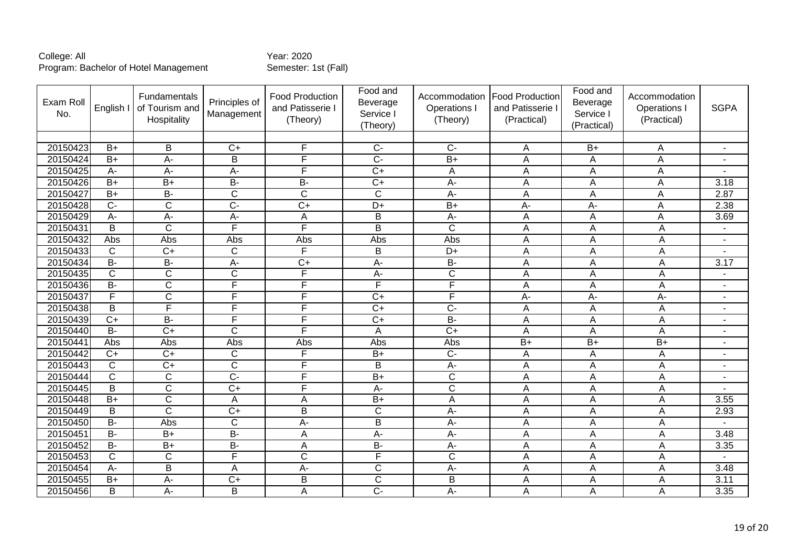| Exam Roll<br>No. | English I             | Fundamentals<br>of Tourism and<br>Hospitality | Principles of<br>Management | Food Production<br>and Patisserie I<br>(Theory) | Food and<br>Beverage<br>Service I<br>(Theory) | Accommodation<br>Operations I<br>(Theory) | <b>Food Production</b><br>and Patisserie I<br>(Practical) | Food and<br>Beverage<br>Service I<br>(Practical) | Accommodation<br>Operations I<br>(Practical) | <b>SGPA</b>              |
|------------------|-----------------------|-----------------------------------------------|-----------------------------|-------------------------------------------------|-----------------------------------------------|-------------------------------------------|-----------------------------------------------------------|--------------------------------------------------|----------------------------------------------|--------------------------|
|                  |                       |                                               |                             |                                                 |                                               |                                           |                                                           |                                                  |                                              |                          |
| 20150423         | $B+$                  | B                                             | $C+$                        | F                                               | $\overline{C}$                                | $C -$                                     | A                                                         | $B+$                                             | Α                                            |                          |
| 20150424         | $\overline{B+}$       | $A -$                                         | B                           | F                                               | $\overline{C}$ -                              | $\overline{B+}$                           | A                                                         | A                                                | $\overline{A}$                               | $\overline{a}$           |
| 20150425         | A-                    | A-                                            | A-                          | $\overline{\mathsf{F}}$                         | $\overline{C+}$                               | $\overline{A}$                            | A                                                         | A                                                | A                                            |                          |
| 20150426         | $B+$                  | $B+$                                          | <b>B-</b>                   | <b>B-</b>                                       | $\overline{C}$                                | A-                                        | Α                                                         | Α                                                | A                                            | 3.18                     |
| 20150427         | $\overline{B}$        | $\overline{B}$                                | $\overline{\mathsf{C}}$     | $\overline{\mathsf{C}}$                         | $\overline{\text{c}}$                         | A-                                        | A                                                         | A                                                | A                                            | 2.87                     |
| 20150428         | $\overline{C}$        | $\overline{C}$                                | $\overline{C}$              | $\overline{C+}$                                 | $\overline{D+}$                               | $\overline{B+}$                           | A-                                                        | A-                                               | A                                            | 2.38                     |
| 20150429         | A-                    | $\overline{A}$                                | A-                          | A                                               | B                                             | A-                                        | A                                                         | A                                                | A                                            | 3.69                     |
| 20150431         | $\overline{B}$        | $\overline{C}$                                | F                           | F                                               | $\overline{\mathsf{B}}$                       | $\overline{\text{c}}$                     | Α                                                         | Α                                                | A                                            | $\blacksquare$           |
| 20150432         | Abs                   | Abs                                           | Abs                         | Abs                                             | Abs                                           | Abs                                       | A                                                         | A                                                | A                                            | $\overline{\phantom{a}}$ |
| 20150433         | $\mathsf{C}$          | $C+$                                          | $\mathsf{C}$                | F                                               | B                                             | $D+$                                      | Α                                                         | Α                                                | A                                            |                          |
| 20150434         | $B -$                 | $\overline{B}$                                | A-                          | $\overline{C+}$                                 | $\overline{A}$ -                              | $B -$                                     | A                                                         | A                                                | A                                            | 3.17                     |
| 20150435         | $\mathsf{C}$          | $\mathsf{C}$                                  | $\mathsf C$                 | F                                               | $A-$                                          | C                                         | A                                                         | Α                                                | Α                                            | $\overline{\phantom{a}}$ |
| 20150436         | $B -$                 | $\overline{C}$                                | F                           | $\overline{\mathsf{F}}$                         | F                                             | F                                         | A                                                         | A                                                | A                                            | $\blacksquare$           |
| 20150437         | F                     | $\overline{C}$                                | F                           | F                                               | $\overline{C+}$                               | F                                         | A-                                                        | $\overline{A}$ -                                 | $\overline{A}$                               | ٠                        |
| 20150438         | B                     | F                                             | E                           | F                                               | $\overline{C}$                                | $\overline{C}$                            | A                                                         | A                                                | A                                            | ٠                        |
| 20150439         | $\overline{C}$        | $\overline{B}$                                | F                           | F                                               | $\overline{C+}$                               | $B -$                                     | A                                                         | A                                                | A                                            | $\blacksquare$           |
| 20150440         | $\overline{B}$        | $\overline{C}$                                | $\overline{C}$              | F                                               | A                                             | $\overline{C}$                            | A                                                         | Α                                                | A                                            | $\blacksquare$           |
| 20150441         | Abs                   | Abs                                           | Abs                         | Abs                                             | Abs                                           | Abs                                       | $B+$                                                      | $B+$                                             | $B+$                                         | $\overline{\phantom{a}}$ |
| 20150442         | $C+$                  | $C+$                                          | C                           | F                                               | $B+$                                          | $C -$                                     | A                                                         | Α                                                | A                                            | $\overline{a}$           |
| 20150443         | $\overline{\text{c}}$ | $\overline{C+}$                               | $\overline{\text{c}}$       | F                                               | $\overline{\mathsf{B}}$                       | $A -$                                     | A                                                         | A                                                | A                                            | ٠                        |
| 20150444         | $\mathsf{C}$          | $\mathsf{C}$                                  | $\overline{C}$              | E                                               | $B+$                                          | $\mathsf{C}$                              | A                                                         | Α                                                | A                                            | $\blacksquare$           |
| 20150445         | $\overline{B}$        | $\overline{C}$                                | $\overline{C+}$             | F                                               | $\overline{A}$                                | $\overline{\text{c}}$                     | A                                                         | A                                                | A                                            |                          |
| 20150448         | $\overline{B+}$       | $\overline{\mathsf{C}}$                       | Α                           | A                                               | $B+$                                          | A                                         | Α                                                         | A                                                | A                                            | 3.55                     |
| 20150449         | B                     | $\overline{C}$                                | $\overline{C+}$             | $\overline{B}$                                  | $\overline{C}$                                | A-                                        | A                                                         | A                                                | A                                            | 2.93                     |
| 20150450         | $B -$                 | Abs                                           | $\mathsf{C}$                | A-                                              | B                                             | A-                                        | A                                                         | Α                                                | A                                            | $\blacksquare$           |
| 20150451         | $\overline{B}$        | $\overline{B+}$                               | $\overline{B}$              | A                                               | $A-$                                          | A-                                        | A                                                         | A                                                | A                                            | 3.48                     |
| 20150452         | $\overline{B}$        | $\overline{B+}$                               | $\overline{B}$              | A                                               | $B -$                                         | A-                                        | A                                                         | A                                                | A                                            | 3.35                     |
| 20150453         | $\mathsf{C}$          | $\mathsf{C}$                                  | $\overline{F}$              | $\overline{C}$                                  | F                                             | $\mathsf{C}$                              | A                                                         | A                                                | A                                            |                          |
| 20150454         | A-                    | $\overline{\mathsf{B}}$                       | A                           | $\overline{A}$ -                                | $\overline{C}$                                | $\overline{A}$ -                          | A                                                         | A                                                | A                                            | 3.48                     |
| 20150455         | $B+$                  | A-                                            | $C+$                        | B                                               | $\overline{C}$                                | B                                         | A                                                         | А                                                | A                                            | 3.11                     |
| 20150456         | B                     | $A -$                                         | B                           | A                                               | $\overline{C}$                                | A-                                        | A                                                         | Α                                                | A                                            | 3.35                     |